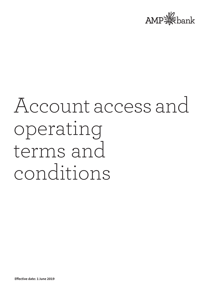

# Account access and operating terms and conditions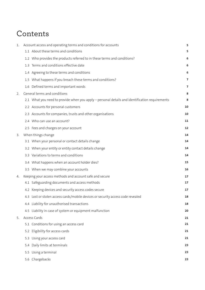# **Contents**

| 1. |              | Account access and operating terms and conditions for accounts                                 | 5  |  |
|----|--------------|------------------------------------------------------------------------------------------------|----|--|
|    |              | 1.1 About these terms and conditions                                                           | 5  |  |
|    |              | 1.2 Who provides the products referred to in these terms and conditions?                       | 6  |  |
|    |              | 1.3 Terms and conditions effective date                                                        | 6  |  |
|    |              | 1.4 Agreeing to these terms and conditions                                                     | 6  |  |
|    |              | 1.5 What happens if you breach these terms and conditions?                                     | 7  |  |
|    |              | 1.6 Defined terms and important words                                                          | 7  |  |
| 2. |              | General terms and conditions                                                                   | 8  |  |
|    |              | 2.1 What you need to provide when you apply - personal details and identification requirements | 8  |  |
|    |              | 2.2 Accounts for personal customers                                                            | 10 |  |
|    |              | 2.3 Accounts for companies, trusts and other organisations                                     | 10 |  |
|    |              | 2.4 Who can use an account?                                                                    | 11 |  |
|    |              | 2.5 Fees and charges on your account                                                           | 12 |  |
| 3. |              | When things change                                                                             | 14 |  |
|    |              | 3.1 When your personal or contact details change                                               | 14 |  |
|    |              | 3.2 When your entity or entity contact details change                                          | 14 |  |
|    |              | 3.3 Variations to terms and conditions                                                         | 14 |  |
|    |              | 3.4 What happens when an account holder dies?                                                  | 15 |  |
|    |              | 3.5 When we may combine your accounts                                                          | 16 |  |
| 4. |              | Keeping your access methods and account safe and secure                                        | 17 |  |
|    |              | 4.1 Safeguarding documents and access methods                                                  | 17 |  |
|    |              | 4.2 Keeping devices and security access codes secure                                           | 17 |  |
|    |              | 4.3 Lost or stolen access cards/mobile devices or security access code revealed                | 18 |  |
|    |              | 4.4 Liability for unauthorised transactions                                                    | 18 |  |
|    |              | 4.5 Liability in case of system or equipment malfunction                                       | 20 |  |
| 5. | Access Cards |                                                                                                |    |  |
|    |              | 5.1 Conditions for using an access card                                                        | 21 |  |
|    |              | 5.2 Eligibility for access cards                                                               | 21 |  |
|    |              | 5.3 Using your access card                                                                     | 21 |  |
|    |              | 5.4 Daily limits at terminals                                                                  | 23 |  |
|    |              | 5.5 Using a terminal                                                                           | 23 |  |
|    |              | 5.6 Chargebacks                                                                                | 23 |  |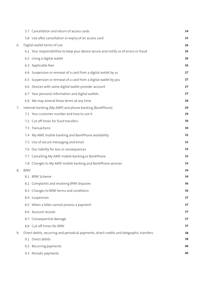|    |             | 5.7 Cancellation and return of access cards                                                | 24 |
|----|-------------|--------------------------------------------------------------------------------------------|----|
|    |             | 5.8 Use after cancellation or expiry of an access card                                     | 25 |
| 6. |             | Digital wallet terms of use                                                                | 26 |
|    |             | 6.1 Your responsibilities to keep your device secure and notify us of errors or fraud      | 26 |
|    |             | 6.2 Using a digital wallet                                                                 | 26 |
|    |             | 6.3 Applicable fees                                                                        | 26 |
|    |             | 6.4 Suspension or removal of a card from a digital wallet by us                            | 27 |
|    |             | 6.5 Suspension or removal of a card from a digital wallet by you                           | 27 |
|    |             | 6.6 Devices with same digital wallet provider account                                      | 27 |
|    |             | 6.7 Your personal information and digital wallets                                          | 27 |
|    |             | 6.8 We may amend these terms at any time                                                   | 28 |
| 7. |             | Internet banking (My AMP) and phone banking (BankPhone)                                    | 29 |
|    |             | 7.1 Your customer number and how to use it                                                 | 29 |
|    |             | 7.2 Cut off times for fund transfers                                                       | 30 |
|    |             | 7.3 Transactions                                                                           | 30 |
|    |             | 7.4 My AMP, mobile banking and BankPhone availability                                      | 32 |
|    |             | 7.5 Use of secure messaging and email                                                      | 32 |
|    |             | 7.6 Our liability for loss or consequences                                                 | 32 |
|    |             | 7.7 Cancelling My AMP, mobile banking or BankPhone                                         | 33 |
|    |             | 7.8 Changes to My AMP, mobile banking and BankPhone services                               | 33 |
| 8. | <b>BPAY</b> |                                                                                            | 34 |
|    |             | 8.1 BPAY Scheme                                                                            | 34 |
|    |             | 8.2 Complaints and resolving BPAY disputes                                                 | 36 |
|    |             | 8.3 Changes to BPAY terms and conditions                                                   | 36 |
|    |             | 8.4 Suspension                                                                             | 37 |
|    |             | 8.5 When a biller cannot process a payment                                                 | 37 |
|    |             | 8.6 Account records                                                                        | 37 |
|    |             | 8.7 Consequential damage                                                                   | 37 |
|    |             | 8.8 Cut-off times for BPAY                                                                 | 37 |
| 9. |             | Direct debits, recurring and periodical payments, direct credits and telegraphic transfers | 38 |
|    |             | 9.1 Direct debits                                                                          | 38 |
|    |             | 9.2 Recurring payments                                                                     | 40 |
|    |             | 9.3 Periodic payments                                                                      | 40 |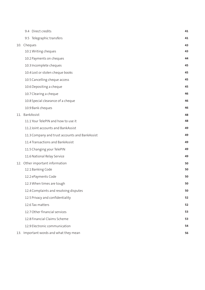| 9.4 Direct credits                             | 41 |
|------------------------------------------------|----|
| 9.5 Telegraphic transfers                      | 41 |
| 10. Cheques                                    | 43 |
| 10.1 Writing cheques                           | 43 |
| 10.2 Payments on cheques                       | 44 |
| 10.3 Incomplete cheques                        | 45 |
| 10.4 Lost or stolen cheque books               | 45 |
| 10.5 Cancelling cheque access                  | 45 |
| 10.6 Depositing a cheque                       | 45 |
| 10.7 Clearing a cheque                         | 46 |
| 10.8 Special clearance of a cheque             | 46 |
| 10.9 Bank cheques                              | 46 |
| 11. BankAssist                                 | 48 |
| 11.1 Your TelePIN and how to use it            | 48 |
| 11.2 Joint accounts and BankAssist             | 49 |
| 11.3 Company and trust accounts and BankAssist | 49 |
| 11.4 Transactions and BankAssist               | 49 |
| 11.5 Changing your TelePIN                     | 49 |
| 11.6 National Relay Service                    | 49 |
| 12. Other important information                | 50 |
| 12.1 Banking Code                              | 50 |
| 12.2 ePayments Code                            | 50 |
| 12.3 When times are tough                      | 50 |
| 12.4 Complaints and resolving disputes         | 50 |
| 12.5 Privacy and confidentiality               | 52 |
| 12.6 Tax matters                               | 52 |
| 12.7 Other financial services                  | 53 |
| 12.8 Financial Claims Scheme                   | 53 |
| 12.9 Electronic communication                  | 54 |
| 13. Important words and what they mean         | 56 |
|                                                |    |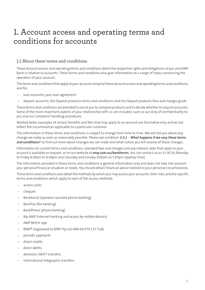# 1. Account access and operating terms and conditions for accounts

# <span id="page-4-0"></span>1.1 About these terms and conditions

These Account access and operating terms and conditions detail the respective rights and obligations of you and AMP Bank in relation to accounts. These terms and conditions also give information on a range of topics concerning the operation of your account.

The terms and conditions that apply to your account comprise these Account access and operating terms and conditions, and for:

- loan accounts, your loan agreement
- deposit accounts, the Deposit products terms and conditions and the Deposit products fees and charges guide.

These terms and conditions are provided to assist you to compare products and to decide whether to acquire accounts. Some of the more important aspects of your relationship with us are included, such as our duty of confidentiality to you and our complaint handling procedures.

Worked dollar examples of certain benefits and fees that may apply to an account are illustrative only and do not reflect the circumstances applicable to a particular customer.

The information in these terms and conditions is subject to change from time to time. We will tell you about any change we make as soon as reasonably possible. Please see condition **[3.3.1](#page-13-3) - What [happens](#page-13-3) if we vary these terms and [conditions?](#page-13-3)**. to find out more about changes we can make and what notice you will receive of these changes.

Information on current terms and conditions, standard fees and charges and any interest rates that apply to your accountis available on request, or on our website at **amp.com.au/bankterms**. You can contact us on 13 30 30, Monday to Friday 8.00am to 8.00pm and Saturday and Sunday 9.00am to 5.00pm (Sydney time).

The information provided in these terms and conditions is general information only and does not take into account your personal financial situation or needs. You should obtain financial advice tailored to your personal circumstances.

These terms and conditions also detail the methods by which you may access your accounts, their risks, and the specific terms and conditions which apply to each of the access methods:

- access cards
- cheques
- BankAssist (operator-assisted phone banking)
- BankFax (fax banking)
- BankPhone (phone banking)
- My AMP (internet banking and access by mobile devices)
- AMP Bett3r app
- BPAY® (registered to BPAY Pty Ltd ABN 69 079 137 518)
- periodic payments
- direct credits
- direct debits
- domestic SWIFT transfers
- international telegraphic transfers.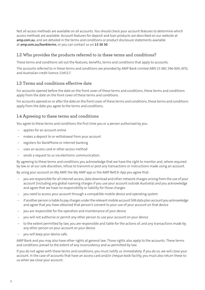Not all access methods are available on all accounts. You should check your account features to determine which access methods are available. Account features for deposit and loan products are described on our website at **amp.com.au**, and are detailed in the terms and conditions or product disclosure statements available at **amp.com.au/bankterms**, or you can contact us on **13 30 30**.

# <span id="page-5-0"></span>1.2 Who provides the products referred to in these terms and conditions?

These terms and conditions set out the features, benefits, terms and conditions that apply to accounts.

<span id="page-5-1"></span>The accounts referred to in these terms and conditions are provided by AMP Bank Limited ABN 15 081 596 009, AFSL and Australian credit licence 234517.

### 1.3 Terms and conditions effective date

For accounts opened before the date on the front cover of these terms and conditions, these terms and conditions apply from the date on the front cover of these terms and conditions.

<span id="page-5-2"></span>For accounts opened on or after the date on the front cover of these terms and conditions, these terms and conditions apply from the date you agree to the terms and conditions.

# 1.4 Agreeing to these terms and conditions

You agree to these terms and conditions the first time you or a person authorised by you:

- applies for an account online
- makes a deposit to or withdrawal from your account
- registers for BankPhone or internet banking
- uses an access card or other access method
- sends a request to us via electronic communication.

By agreeing to these terms and conditions you acknowledge that we have the right to monitor and, where required by law or at our sole discretion, refuse to transmit or post any transactions or instructions made using an account.

By using your account on My AMP, the My AMP app or the AMP Bett3r App you agree that:

- you are responsible for all internet access, data download and other network charges arising from the use of your account (including any global roaming charges if you use your account outside Australia) and you acknowledge and agree that we have no responsibility or liability for those charges
- you need to access your account through a compatible mobile device and operating system
- if another person is liable to pay charges under the relevant mobile account SIM data plan account you acknowledge and agree that you have obtained that person's consent to your use of your account on that device
- you are responsible for the operation and maintenance of your device
- you will not authorise or permit any other person to use your account on your device
- to the extent permitted by law, you are responsible and liable for the actions of, and any transactions made by, any other person on your account on your device
- you will keep your device safe.

AMP Bank and you may also have other rights at general law. Those rights also apply to the accounts. These terms and conditions prevail to the extent of any inconsistency and as permitted by law.

If you do not agree with these terms and conditions, you must notify us immediately. If you do so, we will close your account. In the case of accounts that have an access card and/or cheque book facility, you must also return these to us when we close your account.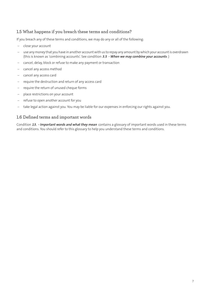# <span id="page-6-0"></span>1.5 What happens if you breach these terms and conditions?

If you breach any of these terms and conditions, we may do any or all of the following:

- close your account
- use any money that you have in another account with us to repay any amount by which your account is overdrawn (this is known as 'combining accounts'. See condition **[3.5](#page-15-0) - When we may [combine](#page-15-0) your accounts** .)
- cancel, delay, block or refuse to make any payment or transaction
- cancel any access method
- cancel any access card
- require the destruction and return of any access card
- require the return of unused cheque forms
- place restrictions on your account
- refuse to open another account for you
- <span id="page-6-1"></span>– take legal action against you. You may be liable for our expenses in enforcing our rights against you.

# 1.6 Defined terms and important words

Condition **[13.](#page-55-0) - [Important](#page-55-0) words and what they mean** contains a glossary of important words used in these terms and conditions. You should refer to this glossary to help you understand these terms and conditions.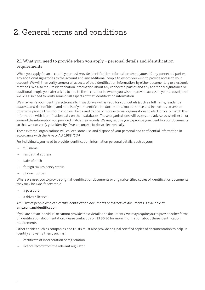# 2. General terms and conditions

# <span id="page-7-0"></span>2.1 What you need to provide when you apply – personal details and identification requirements

When you apply for an account, you must provide identification information about yourself, any connected parties, any additional signatories to the account and any additional people to whom you wish to provide access to your account. We will then verify some or all aspects of that identification information, by either documentary or electronic methods. We also require identification information about any connected parties and any additional signatories or additional people you later ask us to add to the account or to whom you wish to provide access to your account, and we will also need to verify some or all aspects of that identification information.

We may verify your identity electronically. If we do, we will ask you for your details (such as full name, residential address, and date of birth) and details of your identification documents. You authorise and instruct us to send or otherwise provide this information will be passed to one or more external organisations to electronically match this information with identification data on their databases. These organisations will assess and advise us whether all or some of the information you provided match their records. We may require you to provide your identification documents so that we can verify your identity if we are unable to do so electronically.

These external organisations will collect, store, use and dispose of your personal and confidential information in accordance with the Privacy Act 1988 (Cth).

For individuals, you need to provide identification information personal details, such as your:

- full name
- residential address
- date of birth
- foreign tax residency status
- phone number.

Where we need you to provide original identification documents or original certified copies of identification documents they may include, for example:

- a passport
- a driver's licence.

A full list of people who can certify identification documents or extracts of documents is available at **amp.com.au/identification**.

If you are not an individual or cannot provide these details and documents, we may require you to provide other forms of identification documentation. Please contact us on 13 30 30 for more information about these identification requirements,

Other entities such as companies and trusts must also provide original certified copies of documentation to help us identify and verify them, such as:

- certificate of incorporation or registration
- licence record from the relevant regulator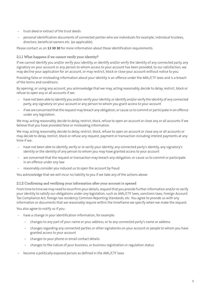- trust deed or extract of the trust deeds
- personal identification documents of connected parties who are individuals for example, individual trustees, directors, beneficial owners etc. (as applicable).

Please contact us on **13 30 30** for more information about these identification requirements.

#### 2.1.1 What happens if we cannot verify your identity?

If we cannot identify you and/or verify your identity, or identify and/or verify the identity of any connected party, any signatory on your account or any person to whom access to your account has been provided, to our satisfaction, we may decline your application for an account, or may restrict, block or close your account without notice to you.

Providing false or misleading information about your identity is an offence under the AML/CTF laws and is a breach of the terms and conditions.

By opening, or using any account, you acknowledge that we may, acting reasonably, decide to delay, restrict, block or refuse to open any or all accounts if we:

- have not been able to identify you and/or verify your identity, or identify and/or verify the identity of any connected party, any signatory on your account or any person to whom you grant access to your account
- if we are concernedthatthe request may breach any obligation, or cause us to commit or participate in an offence under any legislation.

We may, acting reasonably, decide to delay, restrict, block, refuse to open an account or close any or all accounts if we believe that you have provided false or misleading information.

We may, acting reasonably, decide to delay, restrict, block, refuse to open an account or close any or all accounts or may decide to delay, restrict, block or refuse any request, payment or transaction including interest payments at any time if we:

- have not been able to identify, verify or re-verify your identity, any connected party's identity, any signatory's identity or the identity of any person to whom you may have granted access to your account
- are concerned that the request or transaction may breach any obligation, or cause us to commit or participate in an offence under any law
- reasonably consider you induced us to open the account by fraud

You acknowledge that we will incur no liability to you if we take any of the actions above.

#### 2.1.2 Confirming and verifying your information after your account is opened

From time to time we may need to reconfirm your details, request that you provide further information and/or re-verify your identity to satisfy our obligations under any legislation, such as AML/CTF laws, sanctions laws, Foreign Account Tax Compliance Act, foreign tax residency Common Reporting Standards, etc. You agree to provide us with any information or documents that we reasonably require within the timeframe we specify when we make the request.

You also agree to notify us if you:

- have a change in your identification information, for example:
	- changes to any part of your name or your address, or to any connected party's name or address
	- changes regarding any connected parties or other signatories on your account or people to whom you have granted access to your account
	- changes to your phone or email contact details
	- changes to the nature of your business, or business registration or regulation status
- become a politically exposed person as defined in the AML/CTF laws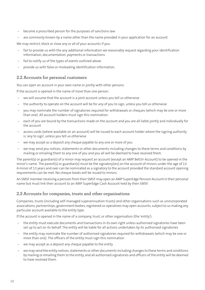- become a proscribed person for the purposes of sanctions law
- are commonly known by a name other than the name provided in your application for an account.

We may restrict, block or close any or all of your accounts if you:

- fail to provide us with the any additional information we reasonably request regarding your identification information, documentation, payments or transactions
- fail to notify us of the types of events outlined above
- <span id="page-9-0"></span>– provide us with false or misleading identification information.

### 2.2 Accounts for personal customers

You can open an account in your own name or jointly with other persons.

If the account is opened in the name of more than one person:

- we will assume that the account is a joint account unless you tell us otherwise
- the authority to operate on the account will be for any of you to sign, unless you tell us otherwise
- you may nominate the number of signatories required for withdrawals or cheques (which may be one or more than one). All account holders must sign this nomination.
- each of you are bound by the transactions made on the account and you are all liable jointly and individually for the account
- access cards (where available on an account) will be issued to each account holder where the signing authority is 'any to sign', unless you tell us otherwise
- we may accept as a deposit any cheque payable to any one or more of you
- we may send you notices, statements or other documents including changes to these terms and conditions by mailing or emailing them to any one of you and you all will be deemed to have received them.

The parent(s) or guardian(s) of a minor may request an account (except an AMP Bett3r Account) to be opened in the minor's name. The parent(s) or guardian(s) must be the signatory(ies) on the account of minors under the age of 13. A minor of 13 years and over can be nominated as a signatory to the account provided the standard account opening requirements can be met. No cheque books will be issued to minors.

<span id="page-9-1"></span>An SMSF member receiving a pension from their SMSF may open an AMP SuperEdge Pension Account in their personal name but must link their account to an AMP SuperEdge Cash Account held by their SMSF.

# 2.3 Accounts for companies, trusts and other organisations

Companies, trusts (including self-managed superannuation trusts) and other organisations such as unincorporated associations, partnerships, government bodies, registered co-operatives may open accounts, subject to us making any particular account available to the entity type.

If the account is opened in the name of a company, trust, or other organisation (the 'entity'):

- the entity must execute documents and transactions in its own right unless authorised signatories have been set up to act on its behalf. The entity will be liable for all actions undertaken by its authorised signatories
- the entity may nominate the number of authorised signatories required for withdrawals (which may be one or more than one). The officers of the entity must sign this nomination
- we may accept as a deposit any cheque payable to the entity
- we may send the entity notices, statements or other documents including changes to these terms and conditions by mailing or emailing them to the entity, and all authorised signatories and officers of the entity will be deemed to have received them.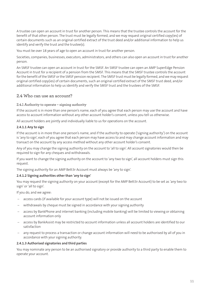A trustee can open an account in trust for another person. This means that the trustee controls the account for the benefit of that other person. The trust must be legally formed, and we may request original certified copy(ies) of certain documents such as an original certified extract of the trust deed and/or additional information to help us identify and verify the trust and the trustee(s).

You must be over 18 years of age to open an account in trust for another person.

Societies, companies, businesses, executors, administrators, andothers can also open an account in trust for another person.

An SMSF trustee can open an account in trust for the SMSF. An SMSF trustee can open an AMP SuperEdge Pension Account in trust for a recipient of a pension from the SMSF. This means that the SMSF trustee controls the account forthe benefit ofthe SMSF orthe SMSF pension recipient. The SMSF trust must be legally formed, and we may request original certified copy(ies) of certain documents, such an original certified extract of the SMSF trust deed, and/or additional information to help us identify and verify the SMSF trust and the trustees of the SMSF.

# <span id="page-10-1"></span><span id="page-10-0"></span>2.4 Who can use an account?

#### 2.4.1 Authority to operate – signing authority

If the account is in more than one person's name, each of you agree that each person may use the account and have access to account information without any other account holder's consent, unless you tell us otherwise.

All account holders are jointly and individually liable to us for operations on the account.

#### **2.4.1.1 Any to sign**

If the account is in more than one person's name, and if the authority to operate ('signing authority') on the account is 'any to sign', each of you agree that each person may have access to and may change account information and may transact on the account by any access method without any other account holder's consent.

Any of you may change the signing authority on the account to 'all to sign'. All account signatories would then be required to sign for any cheques and withdrawals.

If you want to change the signing authority on the account to 'any two to sign', all account holders must sign this request.

The signing authority for an AMP Bett3r Account must always be 'any to sign'.

#### **2.4.1.2 Signing authorities other than 'any to sign'**

You may request the signing authority on your account (except for the AMP Bett3r Account) to be set as 'any two to sign' or 'all to sign'.

If you do, and we agree:

- access cards (if available for your account type) will not be issued on the account
- withdrawals by cheque must be signed in accordance with your signing authority
- access by BankPhone and internet banking (including mobile banking) will be limited to viewing or obtaining account information only
- access by BankAssist may be restricted to account information unless all account holders are identified to our satisfaction
- any request to process a transaction or change account information will need to be authorised by all of you in accordance with your signing authority.

#### **2.4.1.3 Authorised signatories and third parties**

You may nominate any person to be an authorised signatory or provide authority to a third party to enable them to operate your account.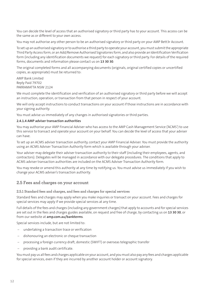You can decide the level of access that an authorised signatory or third party has to your account. This access can be the same as or different to your own access.

You may not authorise any other person to be an authorised signatory or third party on your AMP Bett3r Account.

To set up an authorised signatory or to authorise a third party to operate your account, you must submit the appropriate Third Party Access form, or an Add/Remove Authorised Signatories form, and also provide an Identification Verification form (including any identification documents we request) for each signatory or third party. For details of the required forms, documents and information please contact us on **13 30 30**.

The original completed forms and all accompanying documents (originals, original certified copies or uncertified copies, as appropriate) must be returned to:

AMP Bank Limited Reply Paid 79702 PARRAMATTA NSW 2124

We must complete the identification and verification of an authorised signatory or third party before we will accept an instruction, operation, or transaction from that person in respect of your account.

We will only accept instructions to conduct transactions on your account if those instructions are in accordance with your signing authority.

You must advise us immediately of any changes in authorised signatories or third parties.

#### **2.4.1.4 AMP adviser transaction authorities**

You may authorise your AMP Financial Adviser who has access to the AMP Cash Management Service ('ACMS') to use this service to transact and operate your account on your behalf. You can decide the level of access that your adviser can have.

To set up an ACMS adviser transaction authority, contact your AMP Financial Adviser. You must provide the authority using an ACMS Adviser Transaction Authority form which is available through your adviser.

Your adviser may delegate their adviser transaction authority to their staff (including their employees, agents, and contractors). Delegates will be managed in accordance with our delegate procedures. The conditions that apply to ACMS adviser transaction authorities are included on the ACMS Adviser Transaction Authority form.

<span id="page-11-0"></span>You may revoke or amend this authority at any time by notifying us. You must advise us immediately if you wish to change your ACMS adviser's transaction authority.

#### 2.5 Fees and charges on your account

#### 2.5.1 Standard fees and charges, and fees and charges for special services

Standard fees and charges may apply when you make inquiries or transact on your account. Fees and charges for special services may apply if we provide special services at any time.

Full details of the fees and charges (including any government charges) that apply to accounts and for special services are set out in the fees and charges guides available, on request and free of charge, by contacting us on **13 30 30**, or from our website at **amp.com.au/bankterms**.

Special services include, but are not limited to:

- undertaking a transaction trace or verification
- dishonouring an electronic or cheque transaction
- processing a foreign currency draft, domestic (SWIFT) or overseas telegraphic transfer
- providing a bank audit certificate.

You must pay us all fees and charges applicable on your account, and you must also pay any fees and charges applicable for special services, even if they are incurred by another account holder or account signatory.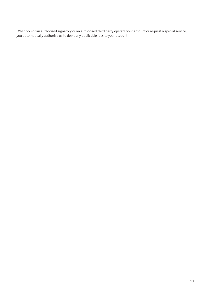When you or an authorised signatory or an authorised third party operate your account or request a special service, you automatically authorise us to debit any applicable fees to your account.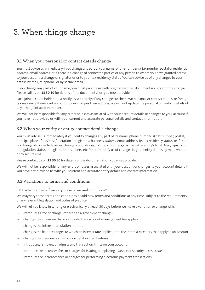# 3. When things change

# <span id="page-13-0"></span>3.1 When your personal or contact details change

You must advise us immediately if you change any part of your name, phone number(s), fax number, postal or residential address, email address, or if there is a change of connected parties or any person to whom you have granted access to your account, a change of signatories or to your tax residency status. You can advise us of any changes to your details by mail, telephone, or by secure email.

If you change any part of your name, you must provide us with original certified documentary proof of the change. Please call us on **13 30 30** for details of the documentation you must provide.

Each joint account holder must notify us separately of any changes to their own personal or contact details, or foreign tax residency. If one joint account holder changes their address, we will not update the personal or contact details of any other joint account holder.

<span id="page-13-1"></span>We will not be responsible for any errors or losses associated with your account details or changes to your account if you have not provided us with your current and accurate personal details and contact information.

# 3.2 When your entity or entity contact details change

You must advise us immediately if your entity changes any part of its name, phone number(s), fax number, postal, principal place of business/operation or registered business address, email address, its tax residency status, or if there is a change of connected parties, change of signatories, nature of business, change to the entity's Trust Deed, registration or regulation status or registration numbers, etc. You can notify us of changes to your entity details by mail, phone, or by secure email.

<span id="page-13-2"></span>Please contact us on **13 30 30** for details of the documentation you must provide.

<span id="page-13-3"></span>We will not be responsible for any errors or losses associated with your account or changes to your account details if you have not provided us with your current and accurate entity details and contact information.

# 3.3 Variations to terms and conditions

#### 3.3.1 What happens if we vary these terms and conditions?

We may vary these terms and conditions or add new terms and conditions at any time, subject to the requirements of any relevant legislation and codes of practice.

We will let you know in writing or electronically at least 30 days before we make a variation or change which:

- introduces a fee or charge (other than a government charge)
- changes the minimum balance to which an account management fee applies
- changes the interest calculation method
- changes the balance ranges to which an interest rate applies, or to the interest rate tiers that apply to an account
- changes the frequency at which we debit or credit interest
- introduces, removes, or adjusts any transaction limits on your account
- introduces or increases fees or charges for issuing or replacing a device or security access code
- introduces or increases fees or charges for performing electronic payment transactions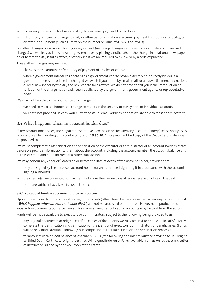- increases your liability for losses relating to electronic payment transactions
- introduces, removes or changes a daily or other periodic limit on electronic payment transactions, a facility, or electronic equipment (such as limits on the number or value of ATM withdrawals).

For other changes we make without your agreement (including changes in interest rates and standard fees and charges) we will let you know in writing, by email, or by placing a notice about the change in a national newspaper on or before the day it takes effect, or otherwise if we are required to by law or by a code of practice.

These other changes may include:

- changes to the amount or frequency of payment of any fee or charge
- when a government introduces or changes a government charge payable directly or indirectly by you. If a government fee is introducedor changed we will tell you either by email, mail, or an advertisement in a national or local newspaper by the day the new charge takes effect. We do not have to tell you if the introduction or variation of the charge has already been publicised by the government, government agency or representative body.

We may not be able to give you notice of a change if:

- we need to make an immediate change to maintain the security of our system or individual accounts
- <span id="page-14-0"></span>– you have not provided us with your current postal or email address, so that we are able to reasonably locate you.

# 3.4 What happens when an account holder dies?

If any account holder dies, their legal representative, next of kin or the surviving account holder(s) must notify us as soon as possible in writing or by contacting us on **13 30 30**. An original certified copy of the Death Certificate must be provided to us.

We must complete the identification and verification of the executor or administrator of an account holder's estate before we provide information to them about the account, including the account number, the account balance and details of credit and debit interest and other transactions.

We may honour any cheque(s) dated on or before the date of death of the account holder, provided that:

- they are signed by the deceased account holder (or an authorised signatory if in accordance with the account signing authority)
- the cheque(s) are presented for payment not more than seven days after we received notice of the death
- there are sufficient available funds in the account.

#### 3.4.1 Release of funds – accounts held by one person

Upon notice of death of the account holder, withdrawals (other than cheques presented according to condition **[3.4](#page-14-0) - What [happens](#page-14-0) when an account holder dies?** ) will not be processed or permitted. However, on production of satisfactory documentation expenses such as funeral, medical or hospital accounts may be paid from the account.

Funds will be made available to executors or administrators, subject to the following being provided to us:

- any original documents or original certified copies of documents we may request to enable us to satisfactorily complete the identification and verification of the identity of executors, administrators or beneficiaries. (Funds will be only made available following our completion of that identification and verification process.)
- for accounts with a credit balance of less than \$15,000, the following documents must be provided to us original certified Death Certificate, original certified Will, signed Indemnity Form (available from us on request) and Letter of instruction signed by the executor/s of the estate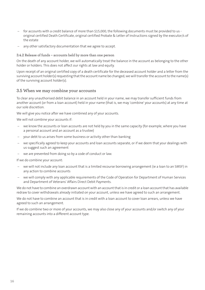- for accounts with a credit balance of more than \$15,000, the following documents must be provided to us original certified Death Certificate, original certified Probate & Letter of Instructions signed by the executor/s of the estate
- any other satisfactory documentation that we agree to accept.

#### 3.4.2 Release of funds – accounts held by more than one person

On the death of any account holder, we will automatically treat the balance in the account as belonging to the other holder or holders. This does not affect our rights at law and equity.

Upon receipt of an original certified copy of a death certificate for the deceased account holder and a letter from the surviving account holder(s) requesting that the account name be changed, we will transfer the account to the name(s) of the surviving account holder(s).

#### <span id="page-15-0"></span>3.5 When we may combine your accounts

To clear any unauthorised debit balance in an account held in your name, we may transfer sufficient funds from another account (or from a loan account) held in your name (that is, we may 'combine' your accounts) at any time at our sole discretion.

We will give you notice after we have combined any of your accounts.

We will not combine your accounts if:

- we know the accounts or loan accounts are not held by you in the same capacity (for example, where you have a personal account and an account as a trustee)
- your debt to us arises from some business or activity other than banking
- we specifically agreed to keep your accounts and loan accounts separate, or if we deem that your dealings with us suggest such an agreement
- we are prevented from doing so by a code of conduct or law.

If we do combine your account:

- we will not include any loan account that is a limited recourse borrowing arrangement (ie a loan to an SMSF) in any action to combine accounts
- we will comply with any applicable requirements of the Code of Operation for Department of Human Services and Department of Veterans' Affairs Direct Debit Payments.

We do not have to combine an overdrawn account with an account that is in credit or a loan account that has available redraw to cover withdrawals already initiated on your account, unless we have agreed to such an arrangement.

We do not have to combine an account that is in credit with a loan account to cover loan arrears, unless we have agreed to such an arrangement.

If we do combine two or more of your accounts, we may also close any of your accounts and/or switch any of your remaining accounts into a different account type.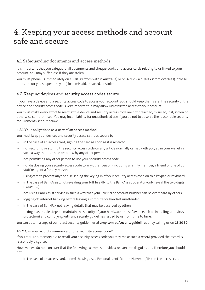# 4. Keeping your access methods and account safe and secure

# <span id="page-16-0"></span>4.1 Safeguarding documents and access methods

It is important that you safeguard all documents and cheque books and access cards relating to or linked to your account. You may suffer loss if they are stolen.

<span id="page-16-1"></span>You must phone us immediately on **13 30 30** (from within Australia) or on **+61 2 9761 9912** (from overseas) if these items are (or you suspect they are) lost, mislaid, misused, or stolen.

### 4.2 Keeping devices and security access codes secure

If you have a device and a security access code to access your account, you should keep them safe. The security of the device and security access code is very important. It may allow unrestricted access to your account.

You must make every effort to see that the device and security access code are not breached, misused, lost, stolen or otherwise compromised. You may incur liability for unauthorised use if you do not to observe the reasonable security requirements set out below.

#### 4.2.1 Your obligations as a user of an access method

You must keep your devices and security access cethods secure by:

- in the case of an access card, signing the card as soon as it is received
- not recording or storing the security access code on any article normally carried with you, eg in your wallet in such a way that it can be obtained by any other person
- not permitting any other person to use your security access code
- not disclosing your security access code to any other person (including a family member, a friend or one of our staff or agents) for any reason
- using care to prevent anyone else seeing the keying in of your security access code on to a keypad or keyboard
- in the case of BankAssist, not revealing your full TelePIN to the BankAssist operator (only reveal the two digits requested)
- not using BankAssist service in such a way that your TelePIN or account number can be overheard by others
- logging off internet banking before leaving a computer or handset unattended
- <span id="page-16-2"></span>in the case of BankFax not leaving details that may be observed by others
- taking reasonable steps to maintain the security of your hardware and software (such as installing anti-virus protection) and complying with any security guidelines issued by us from time to time.

You can obtain a copy of our latest security guidelines at **amp.com.au/securityguidelines** or by calling us on **13 30 30**.

#### 4.2.2 Can you record a memory aid for a security access code?

If you require a memory aid to recall your security access code you may make such a record provided the record is reasonably disguised.

However, we do not consider that the following examples provide a reasonable disguise, and therefore you should not:

– in the case of an access card, record the disguised Personal Identification Number (PIN) on the access card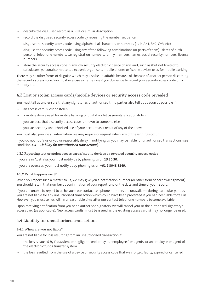- describe the disguised record as a 'PIN' or similar description
- record the disguised security access code by reversing the number sequence
- disguise the security access code using alphabetical characters or numbers (as in  $A=1$ ,  $B=2$ ,  $C=3$ , etc)
- disguise the security access code using any of the following combinations (or parts of them) dates of birth, personal telephone numbers, car registration numbers, family members names, social security numbers, licence numbers
- store the security access code in any low security electronic device of any kind, such as (but not limited to) calculators, personal computers, electronic organisers, mobile phones or Mobiledevices usedfor mobile banking.

There may be other forms of disguise which may also be unsuitable because of the ease of another person discerning the security access code. You must exercise extreme care if you do decide to record your security access code on a memory aid.

# <span id="page-17-0"></span>4.3 Lost or stolen access cards/mobile devices or security access code revealed

You must tell us and ensure that any signatories or authorised third parties also tell us as soon as possible if:

- an access card is lost or stolen
- a mobile device used for mobile banking or digital wallet payments is lost or stolen
- you suspect that a security access code is known to someone else
- you suspect any unauthorised use of your account as a result of any of the above.

You must also provide all information we may require or request when any of these things occur.

If you do not notify us or you unreasonably delay in notifying us, you may be liable for unauthorised transactions (see condition **[4.4](#page-17-1) – Liability for [unauthorised](#page-17-1) transactions**).

4.3.1 Reporting lost or stolen access cards/mobile devices or revealed security access codes

If you are in Australia, you must notify us by phoning us on **13 30 30**.

If you are overseas, you must notify us by phoning us on **+61 2 8048 8249**.

#### 4.3.2 What happens next?

When you report such a matter to us, we may give you a notification number (or other form of acknowledgement). You should retain that number as confirmation of your report, and of the date and time of your report.

<span id="page-17-1"></span>If you are unable to report to us because our contact telephone numbers are unavailable during particular periods, you are not liable for any unauthorised transaction which could have been prevented if you had been able to tell us. However, you must tell us within a reasonable time after our contact telephone numbers become available.

Upon receiving notification from you or an authorised signatory, we will cancel your or the authorised signatory's access card (as applicable). New access card(s) must be issued as the existing access card(s) may no longer be used.

# 4.4 Liability for unauthorised transactions

#### 4.4.1 When are you not liable?

You are not liable for loss resulting from an unauthorised transaction if:

- the loss is caused by fraudulent or negligent conduct by our employees' or agents' or an employee or agent of the electronic funds transfer system
- the loss resulted from the use of a device or security access code that was forged, faulty, expired or cancelled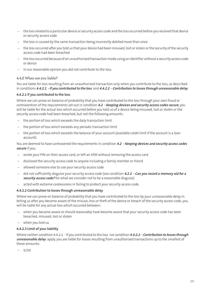- the loss related to a particular device or security access code and the loss occurred before you received that device or security access code
- the loss is caused by the same transaction being incorrectly debited more than once
- the loss occurred after you told us that your device had been misused, lost or stolen or the security of the security access code had been breached
- the loss occurred because of an unauthorisedtransaction made using an identifier without a security access code or device
- in our reasonable opinion you did not contribute to the loss.

#### 4.4.2 When are you liable?

<span id="page-18-0"></span>You are liable for loss resulting from an unauthorised transaction only when you contribute to the loss, as described in conditions [4.4.2.1](#page-18-0) - If you [contributed](#page-18-0) to the loss and [4.4.2.2](#page-18-1) - Contribution to losses through [unreasonable](#page-18-1) delay.

#### **4.4.2.1 If you contributed to the loss**

Where we can prove on balance of probability that you have contributed to the loss through your own fraud or contravention of the requirements set out in condition **[4.2](#page-16-1) - [Keeping](#page-16-1) devices and security access codes secure**, you will be liable for the actual loss which occurred before you told us of a device being misused, lost or stolen or the security access code had been breached, but not the following amounts:

- the portion of loss which exceeds the daily transaction limit
- the portion of loss which exceeds any periodic transaction limit
- the portion of loss which exceeds the balance of your account (available credit limit if the account is a loan account).

You are deemed to have contravened the requirements in condition **[4.2](#page-16-1) - [Keeping](#page-16-1) devices and security access codes [secure](#page-16-1)** if you:

- wrote your PIN on their access card, or left an ATM without removing the access card
- disclosed the security access code to anyone including a family member or friend
- allowed someone else to use your security access code
- <span id="page-18-1"></span>– did not sufficiently disguise your security access code (see condition **[4.2.2](#page-16-2) - Can you record <sup>a</sup> [memory](#page-16-2) aid for <sup>a</sup> [security](#page-16-2) access code?** for what we consider not to be a reasonable disguise)
- acted with extreme carelessness in failing to protect your security access code.

#### **4.4.2.2 Contribution to losses through unreasonable delay**

Where we can prove on balance of probability that you have contributed to the loss by your unreasonable delay in telling us after you become aware of the misuse, loss or theft of the device or breach of the security access code, you will be liable for any actual loss which occurred between:

- when you became aware or should reasonably have become aware that your security access code has been breached, misused, lost or stolen
- when you told us.

#### **4.4.2.3 Limit of your liability**

Where neither condition [4.4.2.1](#page-18-0) - If you contributed to the loss nor condition [4.4.2.2](#page-18-1) - [Contribution](#page-18-1) to losses through **[unreasonable](#page-18-1) delay** apply, you are liable for losses resulting from unauthorised transactions up to the smallest of these amounts:

– \$150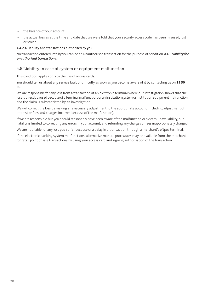- the balance of your account
- the actual loss as at the time and date that we were told that your security access code has been misused, lost or stolen.

#### **4.4.2.4 Liability and transactions authorised by you**

No transaction enteredinto by you can be an unauthorisedtransaction for the purpose of condition **[4.4](#page-17-1) - [Liability](#page-17-1) for [unauthorised](#page-17-1) transactions**.

### <span id="page-19-0"></span>4.5 Liability in case of system or equipment malfunction

This condition applies only to the use of access cards.

You should tell us about any service fault or difficulty as soon as you become aware of it by contacting us on **13 30 30**.

We are responsible for any loss from a transaction at an electronic terminal where our investigation shows that the loss is directly caused because of a terminal malfunction, or an institution system or institution equipment malfunction, and the claim is substantiated by an investigation.

We will correct the loss by making any necessary adjustment to the appropriate account (including adjustment of interest or fees and charges incurred because of the malfunction).

If we are responsible but you should reasonably have been aware of the malfunction or system unavailability, our liability is limited to correcting any errors in your account, and refunding any charges or fees inappropriately charged.

We are not liable for any loss you suffer because of a delay in a transaction through a merchant's eftpos terminal.

If the electronic banking system malfunctions, alternative manual procedures may be available from the merchant for retail point of sale transactions by using your access card and signing authorisation of the transaction.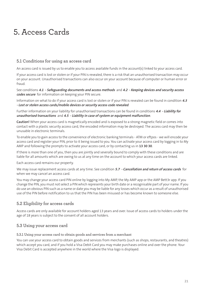# 5. Access Cards

# <span id="page-20-0"></span>5.1 Conditions for using an access card

An access card is issued by us to enable you to access available funds in the account(s) linked to your access card.

If your access card is lost or stolen or if your PIN is revealed, there is a risk that an unauthorised transaction may occur on your account. Unauthorised transactions can also occur on your account because of computer or human error or fraud.

#### See conditions **[4.1](#page-16-0) - [Safeguarding](#page-16-0) documents and access methods** and **[4.2](#page-16-1) - [Keeping](#page-16-1) devices and security access [codes](#page-16-1) secure** for information on keeping your PIN secure.

Information on what to do if your access card is lost or stolen or if your PIN is revealed can be found in condition **[4.3](#page-17-0) - Lost or stolen access [cards/mobile](#page-17-0) devices or security access code revealed**.

Further information on your liability for unauthorised transactions can be found in conditions **[4.4](#page-17-1) - [Liability](#page-17-1) for [unauthorised](#page-17-1) transactions** and **[4.5](#page-19-0) - Liability in case of system or equipment [malfunction](#page-19-0)**.

**Caution!** When your access card is magnetically encoded and is exposed to a strong magnetic field or comes into contact with a plastic security access card, the encoded information may be destroyed. The access card may then be unusable in electronic terminals.

To enable you to gain access to the convenience of electronic banking terminals - ATM or eftpos - we will encode your access card and register your PIN, prior to it being issued to you. You can activate your access card by logging in to My AMP and following the prompts to activate your access card, or by contacting us in **13 30 30**.

If there is more than one of you, then you are jointly and severally bound to comply with these conditions and are liable for all amounts which are owing to us at any time on the account to which your access cards are linked.

Each access card remains our property.

We may issue replacement access cards at any time. See condition **[5.7](#page-23-0) - [Cancellation](#page-23-0) and return of access cards** for when we may cancel an access card.

<span id="page-20-1"></span>You may change your access card PIN online by logging into My AMP, the My AMP app or the AMP Bett3r app. If you change the PIN, you must not select a PIN which represents your birth date or a recognisable part of your name. If you do use an obvious PIN such as a name or date you may be liable for any losses which occur as a result of unauthorised use of the PIN before notification to us that the PIN has been misused or has become known to someone else.

# <span id="page-20-2"></span>5.2 Eligibility for access cards

Access cards are only available for account holders aged 13 years and over. Issue of access cards to holders under the age of 18 years is subject to the consent of all account holders.

# 5.3 Using your access card

#### 5.3.1 Using your access card to obtain goods and services from a merchant

You can use your access card to obtain goods and services from merchants (such as shops, restaurants, and theatres) which accept you card, and if you hold a Visa Debit Card you may make purchases online and over the phone. Your Visa Debit Card is accepted anywhere in the world where the Visa logo is displayed.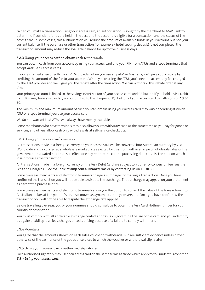When you make a transaction using your access card, an authorisation is sought by the merchant to AMP Bank to determine if sufficient funds are held in the account, the account is eligible for a transaction, and the status of the access card. In some cases, this authorisation will reduce the amount of available funds in your account but not your current balance. If the purchase or other transaction (for example - hotel security deposit) is not completed, the transaction amount may reduce the available balance for up to five business days.

#### 5.3.2 Using your access card to obtain cash withdrawals

You can obtain cash from your account by using your access card and your PIN from ATMs and eftpos terminals that accept AMP Bank access cards.

If you're charged a fee directly by an ATM provider when you use any ATM in Australia, we'll give you a rebate by crediting the amount of the fee to your account. When you're using the ATM, you'll need to accept any fee charged by the ATM provider and we'll give you the rebate after the transaction. We can withdraw this rebate offer at any time.

Your primary account is linked to the savings (SAV) button of your access card, and CR button if you hold a Visa Debit Card. You may have a secondary account linkedto the cheque (CHQ) button of your access card by calling us on **13 30 30**.

The minimum and maximum amount of cash you can obtain using your access card may vary depending at which ATM or eftpos terminal you use your access card.

We do not warrant that ATMs will always have money available.

Some merchants who have terminals may also allow you to withdraw cash at the same time as you pay for goods or services, and others allow cash only withdrawals at self-service checkouts.

#### 5.3.3 Using your access card overseas

All transactions made in a foreign currency on your access card will be converted into Australian currency by Visa Worldwide and calculated at a wholesale market rate selected by Visa from within a range of wholesale rates or the government mandated rate that is in effect one day prior to the central processing date (that is, the date on which Visa processes the transaction).

All transactions made in a foreign currency on the Visa Debit Card are subject to a currency conversion fee (see the Fees and Charges Guide available at **amp.com.au/bankterms** or by contacting us on **13 30 30**).

Some overseas merchants and electronic terminals charge a surcharge for making a transaction. Once you have confirmed the transaction you will not be able to dispute the surcharge. The surcharge may appear on your statement as part of the purchase price.

Some overseas merchants and electronic terminals allow you the option to convert the value of the transaction into Australian dollars at the point of sale, also known as dynamic currency conversion. Once you have confirmed the transaction you will not be able to dispute the exchange rate applied.

Before travelling overseas, you or your nominee should consult us to obtain the Visa Card Hotline number for your country of destination.

You must comply with all applicable exchange control and tax laws governing the use of the card and you indemnify us against liability, loss, fees, charges or costs arising because of a failure to comply with them.

#### 5.3.4 Vouchers

You agree that the amounts shown on each sales voucher or withdrawal slip are sufficient evidence unless proved otherwise of the cash price of the goods or services to which the voucher or withdrawal slip relates.

#### 5.3.5 Using your access card - authorised signatories

Each authorised signatory may use their access card on the same terms as those which apply to you under this condition **[5.3](#page-20-2) - [Using](#page-20-2) your access card**.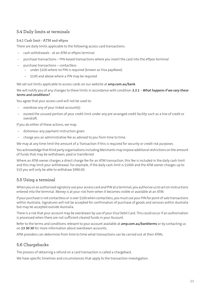# <span id="page-22-0"></span>5.4 Daily limits at terminals

#### 5.4.1 Cash limit - ATM and eftpos

There are daily limits applicable to the following access card transactions:

- cash withdrawals at an ATM or eftpos terminal
- purchase transactions PIN-based transactions where you insert the card into the eftpos terminal
- purchase transactions contactless
	- under \$100 where no PIN is required (known as Visa payWave)
	- \$100 and above where a PIN may be required

We set out limits applicable to access cards on our website at **amp.com.au/bank**.

We will notify you of any changes to these limits in accordance with condition **[3.3.1](#page-13-3) - What [happens](#page-13-3) if we vary these terms and [conditions?](#page-13-3)**.

You agree that your access card will not be used to:

- overdraw any of your linked account(s)
- exceed the unused portion of your credit limit under any pre-arranged credit facility such as a line of credit or overdraft.

If you do either of these actions, we may:

- dishonour any payment instruction given
- charge you an administrative fee as advised to you from time to time.

We may at any time limit the amount of a Transaction if this is required for security or credit risk purposes.

You acknowledge that third party organisations including Merchants may impose additional restrictions on the amount of funds that may be withdrawn, paid or transferred.

<span id="page-22-1"></span>Where an ATM owner charges a direct charge fee for an ATM transaction, this fee is included in the daily cash limit and this may limit your withdrawal. For example, if the daily cash limit is \$1000 and the ATM owner charges up to \$10 you will only be able to withdraw \$990.00.

# 5.5 Using a terminal

When you or an authorised signatory use your access card and PIN at a terminal, you authorise us to act on instructions entered into the terminal. Money is at your risk from when it becomes visible or available at an ATM.

If your purchase is not contactless oris over \$100 when contactless, you must use your PIN for point of sale transactions within Australia. Signatures will not be accepted for confirmation of purchase of goods and services within Australia but may be accepted outside Australia.

There is a risk that your account may be overdrawn by use of your Visa Debit Card. This couldoccur if an authorisation is processed when there are not sufficient cleared funds in your Account.

<span id="page-22-2"></span>Refer to the terms and conditions relevant to your account available at **amp.com.au/bankterms** or by contacting us on **13 30 30** for more information about overdrawn accounts.

ATM providers can determine from time to time what transactions can be carried out at their ATMs.

# 5.6 Chargebacks

The process of obtaining a refund on a card transaction is called a chargeback.

We have specific timelines and circumstances that apply to the transaction investigation.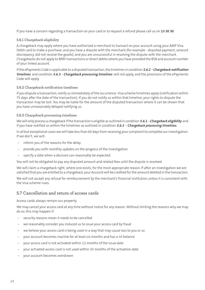If you have a concern regarding a transaction on your card or to request a refund please call us on **13 30 30**.

#### <span id="page-23-3"></span>5.6.1 Chargeback eligibility

A chargeback may apply where you have authorised a merchant to transact on your account using your AMP Visa Debit card to make a purchase, and you have a dispute with the merchant (for example - disputed payment, amount discrepancy, did not receive the goods), and you are unsuccessful in resolving the dispute with the merchant. Chargebacks do not apply to BPAY transactions or direct debits where you have provided the BSB and account number of your linked account.

If the ePayments Code is applicable to a disputed transaction, the timelines in condition [5.6.2](#page-23-1) - [Chargeback](#page-23-1) notification **[timelines](#page-23-1)** and condition **[5.6.3](#page-23-2)** - **[Chargeback](#page-23-2) processing timelines** will not apply, and the provisions of the ePayments Code will apply.

#### <span id="page-23-1"></span>5.6.2 Chargeback notification timelines

<span id="page-23-2"></span>If you dispute a transaction, notify us immediately of the occurrence. Visa scheme timelines apply (notification within 75 days after the date of the transaction). If you do not notify us within that timeline, your rights to dispute the transaction may be lost. You may be liable for the amount of the disputed transaction where it can be shown that you have unreasonably delayed notifying us.

#### 5.6.3 Chargeback processing timelines

Wewill only process a chargeback ifthe transaction is eligible as outlinedin condition **[5.6.1](#page-23-3) - [Chargeback](#page-23-3) eligibility** and if you have notified us within the timelines as outlined in condition **[5.6.3](#page-23-2) - [Chargeback](#page-23-2) processing timelines**.

In all but exceptional cases we will take less than 60 days from receiving your complaint to complete our investigation. If we don't, we will:

- inform you of the reasons for the delay
- provide you with monthly updates on the progress of the investigation
- specify a date when a decision can reasonably be expected.

You will not be obligated to pay any disputed amount and related fees until the dispute is resolved.

We will claim a chargeback right, where one exists, for the most appropriate reason. If after an investigation we are satisfied that you are entitled to a chargeback, your Account will be credited for the amount debited in the transaction.

<span id="page-23-0"></span>We will not accept any refusal for reimbursement by the merchant's financial institution unless it is consistent with the Visa scheme rules.

# 5.7 Cancellation and return of access cards

Access cards always remain our property.

We may cancel your access card at any time without notice for any reason. Without limiting the reasons why we may do so, this may happen if:

- security reasons mean it needs to be cancelled
- we reasonably consider you induced us to issue your access card by fraud
- we believe your access card is being used in a way that may cause loss to you or us
- your account becomes inactive for at least six months and has a nil balance
- your access card is not activated within 12 months of the issue date
- your activated access card is not used within 35 months of the activation date
- your account becomes overdrawn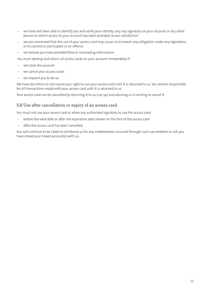- we have not been able to identify you and verify your identity, any any signatory on your account or any other person to whom access to your account has been provided, to our satisfaction
- we are concerned that the use of your access card may cause us to breach any obligation under any legislation, or to commit or participate in an offence
- we believe you have provided false or misleading information.

You must destroy and return all access cards on your account immediately if:

- we close the account
- we cancel your access cards
- we request you to do so.

We have discretion to not cancel your right to use your access card until it is returned to us. You remain responsible for all transactions made with your access card until it is returned to us.

<span id="page-24-0"></span>Your access card can be cancelled by returning it to us (cut up) and advising us in writing to cancel it.

### 5.8 Use after cancellation or expiry of an access card

You must not use your access card or allow any authorised signatory to use the access card:

- before the valid date or after the expiration date shown on the face of the access card
- after the access card has been cancelled.

You will continue to be liable to reimburse us for any indebtedness incurred through such use whether or not you have closed your linked account(s) with us.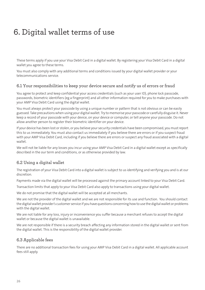# 6. Digital wallet terms of use

<span id="page-25-0"></span>These terms apply if you use your Visa Debit Card in a digital wallet. By registering your Visa Debit Card in a digital wallet you agree to these terms.

<span id="page-25-1"></span>You must also comply with any additional terms and conditions issued by your digital wallet provider or your telecommunications service.

### 6.1 Your responsibilities to keep your device secure and notify us of errors or fraud

You agree to protect and keep confidential your access credentials (such as your user ID), phone lock passcode, passwords, biometric identifiers (eg a fingerprint) and all other information required for you to make purchases with your AMP Visa Debit Card using the digital wallet.

You must always protect your passcode by using a unique number or pattern that is not obvious or can be easily guessed. Take precautions when using yourdigital wallet. Try to memorise your passcode or carefullydisguise it. Never keep a record of your passcode with your device, on your device or computer, or tell anyone your passcode. Do not allow another person to register their biometric identifier on your device.

If your device has been lost or stolen, or you believe your security credentials have been compromised, you must report this to us immediately. You must also contact us immediately if you believe there are errors or if you suspect fraud with your AMP Visa Debit Card, including if you believe there are errors or suspect any fraud associated with a digital wallet.

<span id="page-25-2"></span>We will not be liable for any losses you incur using your AMP Visa Debit Card in a digital wallet except as specifically described in the our term and conditions, or as otherwise provided by law.

# 6.2 Using a digital wallet

The registration of your Visa Debit Card into a digital wallet is subject to us identifying and verifying you and is at our discretion.

Payments made via the digital wallet will be processed against the primary account linked to your Visa Debit Card.

Transaction limits that apply to your Visa Debit Card also apply to transactions using your digital wallet.

We do not promise that the digital wallet will be accepted at all merchants.

We are not the provider of the digital wallet and we are not responsible for its use and function. You should contact the digital wallet provider's customer service if you have questions concerning how to use the digital wallet or problems with the digital wallet.

<span id="page-25-3"></span>We are not liable for any loss, injury or inconvenience you suffer because a merchant refuses to accept the digital wallet or because the digital wallet is unavailable.

We are not responsible if there is a security breach affecting any information stored in the digital wallet or sent from the digital wallet. This is the responsibility of the digital wallet provider.

# 6.3 Applicable fees

There are no additional transaction fees for using your AMP Visa Debit Card in a digital wallet. All applicable account fees still apply.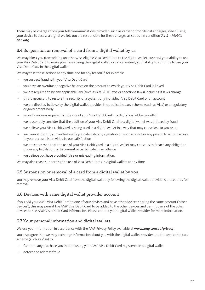There may be charges from your telecommunications provider (such as carrier or mobile data charges) when using your device to access a digital wallet. You are responsible for these charges as set out in condition **[7.1.2](#page-29-2) - [Mobile](#page-29-2) [banking](#page-29-2)**.

# <span id="page-26-0"></span>6.4 Suspension or removal of a card from a digital wallet by us

We may block you from adding an otherwise eligible Visa Debit Card to the digital wallet, suspend your ability to use your Visa Debit Card to make purchases using the digital wallet, or cancel entirely your ability to continue to use your Visa Debit Card in the digital wallet.

We may take these actions at any time and for any reason if, for example:

- we suspect fraud with your Visa Debit Card
- you have an overdue or negative balance on the account to which your Visa Debit Card is linked
- we are required to by any applicable law (such as AML/CTF laws or sanctions laws) including if laws change
- this is necessary to restore the security of a system, any individual Visa Debit Card or an account
- we are directed to do so by the digital wallet provider, the applicable card scheme (such as Visa) or a regulatory or government body
- security reasons require that the use of your Visa Debit Card in a digital wallet be cancelled
- we reasonably consider that the addition of your Visa Debit Card to a digital wallet was induced by fraud
- we believe your Visa Debit Card is being used in a digital wallet in a way that may cause loss to you or us
- we cannot identify you and/or verify your identity, any signatory on your account or any person to whom access to your account is provided to our satisfaction
- we are concerned that the use of your Visa Debit Card in a digital wallet may cause us to breach any obligation under any legislation, or to commit or participate in an offence
- <span id="page-26-1"></span>we believe you have provided false or misleading information.

We may also cease supporting the use of Visa Debit Cards in digital wallets at any time.

# <span id="page-26-2"></span>6.5 Suspension or removal of a card from a digital wallet by you

You may remove your Visa Debit Card from the digital wallet by following the digital wallet provider's procedures for removal.

# 6.6 Devices with same digital wallet provider account

<span id="page-26-3"></span>If you add your AMP Visa Debit Card to one of your devices and have other devices sharing the same account ('other devices'), this may permit the AMP Visa Debit Card to be added to the other devices and permit users of the other devices to see AMP Visa Debit Card information. Please contact your digital wallet provider for more information.

# 6.7 Your personal information and digital wallets

We use your information in accordance with the AMP Privacy Policy available at **www.amp.com.au/privacy**.

You also agree that we may exchange information about you with the digital wallet provider and the applicable card scheme (such as Visa) to:

- facilitate any purchase you initiate using your AMP Visa Debit Card registered in a digital wallet
- detect and address fraud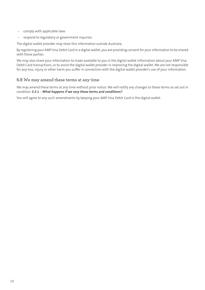- comply with applicable laws
- respond to regulatory or government inquiries.

The digital wallet provider may store this information outside Australia.

By registering your AMP Visa Debit Card in a digital wallet, you are providing consent for your information to be shared with these parties.

We may also share your information to make available to you in the digital wallet information about your AMP Visa Debit Card transactions, or to assist the digital wallet provider in improving the digital wallet. We are not responsible for any loss, injury or other harm you suffer in connection with the digital wallet provider's use of your information.

# <span id="page-27-0"></span>6.8 We may amend these terms at any time

We may amend these terms at any time without prior notice. We will notify any changes to these terms as set out in condition **[3.3.1](#page-13-3) - What [happens](#page-13-3) if we vary these terms and conditions?**.

You will agree to any such amendments by keeping your AMP Visa Debit Card in the digital wallet.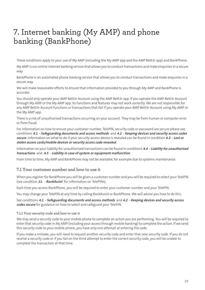# 7. Internet banking (My AMP) and phone banking (BankPhone)

<span id="page-28-0"></span>These conditions apply to your use of My AMP (including the My AMP app and the AMP Bett3r app) and BankPhone.

My AMP is our online internet banking service that allows you to conduct transactions and make enquiries in a secure way.

BankPhone is an automated phone banking service that allows you to conduct transactions and make enquiries in a secure way.

We will make reasonable efforts to ensure that information provided to you through My AMP and BankPhone is accurate.

You should only operate your AMP Bett3r Account using the AMP Bett3r app. If you operate the AMP Bett3r Account through My AMP or the My AMP app, its functions and features may not work correctly. We are not responsible for any AMP Bett3r Account functions or transactions that fail if you operate your AMP Bett3r Account using My AMP or the My AMP app.

There is a risk of unauthorised transactions occurring on your account. They may be from human or computer error or from fraud.

For information on how to ensure your customer number, TelePIN, security code or password are secure please see conditions **[4.1](#page-16-0) - [Safeguarding](#page-16-0) documents and access methods** and **[4.2](#page-16-1) - [Keeping](#page-16-1) devices and security access codes [secure](#page-16-1)**. Information on what to do if your security access device is revealed can be found in condition **[4.3](#page-17-0) - [Lost](#page-17-0) or stolen access [cards/mobile](#page-17-0) devices or security access code revealed**.

<span id="page-28-1"></span>Information on your liability for unauthorised transactions can be found in conditions [4.4](#page-17-1) - Liability for [unauthorised](#page-17-1) **[transactions](#page-17-1)** and **[4.5](#page-19-0) - Liability in case of system or equipment [malfunction](#page-19-0)**.

From time to time, My AMP and BankPhone may not be available, for example due to systems maintenance.

#### 7.1 Your customer number and how to use it

When you register for BankPhone you will be given a customer number and you will be required to select your TelePIN (see condition **[11.](#page-47-0) - [BankAssist](#page-47-0)** for information on TelePINs).

Each time you access BankPhone, you will be required to enter your customer number and your TelePIN.

You may change your TelePIN at any time by calling BankAssist or BankPhone. We will advise you how to do this.

See conditions **[4.1](#page-16-0) - [Safeguarding](#page-16-0) documents and access methods** and **[4.2](#page-16-1) - [Keeping](#page-16-1) devices and security access [codes](#page-16-1) secure** for guidance on how to select and safeguard your TelePIN.

#### 7.1.1 Your security code and how to use it

We may send a security code to your mobile phone to complete an action you are performing. You will be required to enter that security code in My AMP (including your access through mobile banking) to complete the action. If we send this security code to your mobile phone, you have only one attempt at entering the code.

If you make a mistake, you will need to request another security code and enter that new security code. If you do not receive a security code or if you fail on the third attempt to enter the correct security code, you will be unable to complete the transaction at that time.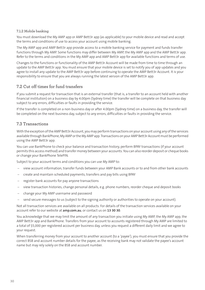#### <span id="page-29-2"></span>7.1.2 Mobile banking

You must download the My AMP app or AMP Bett3r app (as applicable) to your mobile device and read and accept the terms and conditions of use to access your account using mobile banking.

The My AMP app and AMP Bett3r app provide access to a mobile banking service for payment and funds transfer functions through My AMP. Some functions may differ between My AMP, the My AMP app and the AMP Bett3r app. Refer to the terms and conditions in the My AMP app and AMP Bett3r app for available functions and terms of use.

Changes to the functions or functionality of the AMP Bett3r Account will be made from time to time through an update to the AMP Bett3r app. You must ensure that your mobile device is set to notify you of app updates and you agree to install any update to the AMP Bett3r app before continuing to operate the AMP Bett3r Account. It is your responsibility to ensure that you are always running the latest version of the AMP Bett3r app.

# <span id="page-29-0"></span>7.2 Cut off times for fund transfers

If you submit a request for transaction that is an external transfer (that is, a transfer to an account held with another financial institution) on a business day by 4.00pm (Sydney time) the transfer will be complete on that business day subject to any errors, difficulties or faults in providing the service.

<span id="page-29-1"></span>If the transfer is completed on a non-business day or after 4.00pm (Sydney time) on a business day, the transfer will be completed on the next business day, subject to any errors, difficulties or faults in providing the service.

### 7.3 Transactions

With the exception of the AMP Bett3r Account, you may perform transactions on your account using any of the services available through BankPhone, My AMP or the My AMP app. Transactions on your AMP Bett3r Account must be performed using the AMP Bett3r app.

You can use BankPhone to check your balance and transaction history, perform BPAY transactions (if your account permits this access method) and transfer money between your accounts. You can also reorder deposit or cheque books or change your BankPhone TelePIN.

Subject to your account terms and conditions you can use My AMP to:

- view account information, transfer funds between your AMP Bank accounts or to and from other bank accounts
- create and maintain scheduled payments, transfers and pay bills using BPAY
- register bank accounts for pay anyone transactions
- view transaction histories, change personal details, e.g. phone numbers, reorder cheque and deposit books
- change your My AMP username and password
- send secure messages to us (subject to the signing authority or authorities to operate on your account).

Not all transaction services are available on all products. For details of the transaction services available on your account refer to our website at **amp.com.au**, or contact us on **13 30 30**.

You acknowledge that we may limit the amount of any transaction you initiate using My AMP, the My AMP app, the AMP Bett3r app and BankPhone. Transfers from your account to accounts registered through My AMP are limited to a total of \$5,000 per registered account per business day, unless you request a different daily limit and we agree to your request.

When transferring money from your account to another account (to a 'payee'), you must ensure that you provide the correct BSB and account number details for the payee, as the receiving bank may not validate the payee's account name but may rely solely on the BSB and account number.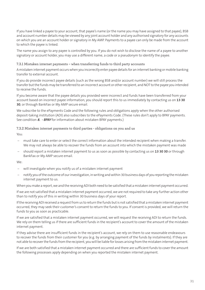If you have linked a payee to your account, that payee's name (or the name you may have assigned to that payee), BSB and account number details may be viewed by any joint account holder and any authorised signatory for any accounts on which you are an account holder or signatory in My AMP. Payments to a payee can only be made from the account to which the payee is linked.

The name you assign to any payee is controlled by you. If you do not wish to disclose the name of a payee to another signatory or account holder, you may use a different name, a code or a pseudonym to identify the payee.

#### 7.3.1 Mistaken internet payments – when transferring funds to third party accounts

A mistaken internet payment occurs when you incorrectly enter payee details for an internet banking or mobile banking transfer to external account.

If you do provide incorrect payee details (such as the wrong BSB and/or account number) we will still process the transfer but the funds may be transferred to an incorrect account or other recipient, and NOT to the payee you intended to receive the funds.

If you become aware that the payee details you provided were incorrect and funds have been transferred from your account based on incorrect payee information, you should report this to us immediately by contacting us on **13 30 30**, or through BankFax or My AMP secure email.

We subscribe to the ePayments Code and the following rules and obligations apply when the other authorised deposit-taking institution (ADI) also subscribes to the ePayments Code. (These rules don't apply to BPAY payments. See condition **[8.](#page-33-0) - [BPAY](#page-33-0)** for information about mistaken BPAY payments.)

#### 7.3.2 Mistaken internet payments to third parties - obligations on you and us

You:

- must take care to enter or select the correct information about the intended recipient when making a transfer. We may not always be able to recover the funds from an account into which the mistaken payment was made
- should report a mistaken internet payment to us as soon as possible by contacting us on **13 30 30** or through BankFax or My AMP secure email.

We:

- will investigate when you notify us of a mistaken internet payment
- notify you ofthe outcome of ourinvestigation, inwriting andwithin 30 businessdays of you reporting the mistaken internet payment to us.

When you make a report, we and the receiving ADI both need to be satisfied that a mistaken internet payment occurred.

If we are not satisfied that a mistaken internet payment occurred, we are not required to take any further action other than to notify you of this in writing within 30 business days of your report.

If the receiving ADI received a request from us to return the funds but is not satisfied that a mistaken internet payment occurred, they may seek their customer's consent to return the funds to you. If consent is provided, we will return the funds to you as soon as practicable.

If we are satisfied that a mistaken internet payment occurred, we will request the receiving ADI to return the funds. We rely on them telling us if there are sufficient funds in the recipient's account to cover the amount of the mistaken internet payment.

If they advise there are insufficient funds in the recipient's account, we rely on them to use reasonable endeavours to recover the funds from their customer for you (e.g. by arranging payment of the funds by instalments). If they are not able to recoverthe funds from the recipient, youwill be liable forlosses arising from the mistaken internet payment.

If we are both satisfied that a mistaken internet payment occurred and there are sufficient funds to cover the amount the following processes apply depending on when you reported the mistaken internet payment.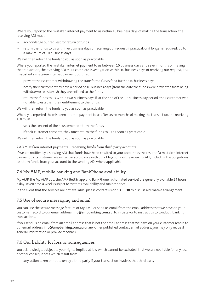Where you reported the mistaken internet payment to us within 10 business days of making the transaction, the receiving ADI must:

- acknowledge our request for return of funds
- return the funds to us with five business days of receiving our request if practical, or if longer is required, up to a maximum of 10 business days.

We will then return the funds to you as soon as practicable.

Where you reported the mistaken internet payment to us between 10 business days and seven months of making the transaction, the receiving ADI must complete investigation within 10 business days of receiving our request, and if satisfied a mistaken internet payment occurred:

- prevent their customer withdrawing the transferred funds for a further 10 business days
- notify their customer they have a period of 10 business days (from the date the funds were prevented from being withdrawn) to establish they are entitled to the funds
- return the funds to us within two business days if, at the end of the 10-business day period, their customer was not able to establish their entitlement to the funds.

We will then return the funds to you as soon as practicable.

Where you reported the mistaken internet payment to us after seven months of making the transaction, the receiving ADI must:

- seek the consent of their customer to return the funds
- if their customer consents, they must return the funds to us as soon as practicable.

We will then return the funds to you as soon as practicable.

#### 7.3.3 Mistaken internet payments – receiving funds from third party accounts

<span id="page-31-0"></span>If we are notified by a sending ADI that funds have been credited to your account as the result of a mistaken internet payment by its customer, we will actin accordance with our obligations as the receiving ADI, including the obligations to return funds from your account to the sending ADI where applicable.

# 7.4 My AMP, mobile banking and BankPhone availability

<span id="page-31-1"></span>My AMP, the My AMP app, the AMP Bett3r app and BankPhone (automated service) are generally available 24 hours a day, seven days a week (subject to systems availability and maintenance).

In the event that the services are not available, please contact us on **13 30 30** to discuss alternative arrangement.

#### 7.5 Use of secure messaging and email

You can use the secure message feature of My AMP, or send us email from the email address that we have on your customer record to our email address **info@ampbanking.com.au**, to initiate (or to instruct us to conduct) banking transactions.

<span id="page-31-2"></span>If you send us an email from an email address that is not the email address that we have on your customer record to our email address **info@ampbanking.com.au** or any other published contact email address, you may only request general information or provide feedback.

#### 7.6 Our liability for loss or consequences

You acknowledge, subject to your rights implied at law which cannot be excluded, that we are not liable for any loss or other consequences which result from:

– any action taken or not taken by a third party if your transaction involves that third party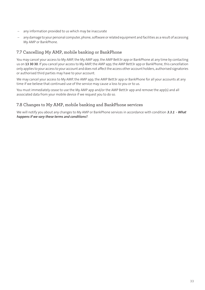- any information provided to us which may be inaccurate
- any damage to your personal computer, phone, software or related equipment and facilities as a result of accessing My AMP or BankPhone.

# <span id="page-32-0"></span>7.7 Cancelling My AMP, mobile banking or BankPhone

You may cancel your access to My AMP, the My AMP app, the AMP Bett3r app or BankPhone at any time by contacting us on **13 30 30**. If you cancel your access to My AMP, the AMP app, the AMP Bett3r app or BankPhone, this cancellation only applies to your access to your account and does not affect the access other account holders, authorised signatories or authorised third parties may have to your account.

We may cancel your access to My AMP, the AMP app, the AMP Bett3r app or BankPhone for all your accounts at any time if we believe that continued use of the service may cause a loss to you or to us.

<span id="page-32-1"></span>You must immediately cease to use the My AMP app and/or the AMP Bett3r app and remove the app(s) and all associated data from your mobile device if we request you to do so.

# 7.8 Changes to My AMP, mobile banking and BankPhone services

We will notify you about any changes to My AMP or BankPhone services in accordance with condition **[3.3.1](#page-13-3) - [What](#page-13-3) happens if we vary these terms and [conditions?](#page-13-3)**.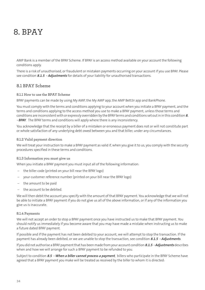# 8. BPAY

<span id="page-33-0"></span>AMP Bank is a member of the BPAY Scheme. If BPAY is an access method available on your account the following conditions apply.

<span id="page-33-1"></span>There is a risk of unauthorised, or fraudulent or mistaken payments occurring on your account if you use BPAY. Please see condition **[8.1.5](#page-34-0) - [Adjustments](#page-34-0)** for details of your liability for unauthorised transactions.

#### 8.1 BPAY Scheme

#### 8.1.1 How to use the BPAY Scheme

BPAY payments can be made by using My AMP, the My AMP app, the AMP Bett3r app and BankPhone.

You must comply with the terms and conditions applying to your account when you initiate a BPAY payment, and the terms and conditions applying to the access method you use to make a BPAY payment, unless those terms and conditions are inconsistent with or expressly overridden by the BPAY terms and conditions set out in in this condition [8.](#page-33-0) **- [BPAY](#page-33-0)**. The BPAY terms and conditions will apply where there is any inconsistency.

You acknowledge that the receipt by a biller of a mistaken or erroneous payment does not or will not constitute part or whole satisfaction of any underlying debt owed between you and that biller, under any circumstances.

#### 8.1.2 Valid payment direction

We will treat your instruction to make a BPAY payment as valid if, when you give it to us, you comply with the security procedures specified in these terms and conditions.

#### 8.1.3 Information you must give us

When you initiate a BPAY payment you must input all of the following information:

- the biller code (printed on your bill near the BPAY logo)
- your customer reference number (printed on your bill near the BPAY logo)
- the amount to be paid
- the account to be debited.

We will then debit the account you specify with the amount of that BPAY payment. You acknowledge that we will not be able to initiate a BPAY payment if you do not give us all of the above information, or if any of the information you give us is inaccurate.

#### 8.1.4 Payments

We will not accept an order to stop a BPAY payment once you have instructed us to make that BPAY payment. You should notify us immediately if you become aware that you may have made a mistake when instructing us to make a future dated BPAY payment.

If possible and if the payment has not been debited to your account, we will attempt to stop the transaction. If the payment has already been debited, or we are unable to stop the transaction, see condition **[8.1.5](#page-34-0) - [Adjustments](#page-34-0)**.

If you did not authorise a BPAY paymentthat has been made from your account condition **[8.1.5](#page-34-0) -[Adjustments](#page-34-0)** describes when and how we will arrange for such a BPAY payment to be refunded to you.

Subject to condition **[8.5](#page-36-1) - When <sup>a</sup> biller cannot process <sup>a</sup> [payment](#page-36-1)**, billers who participate in the BPAY Scheme have agreed that a BPAY payment you make will be treated as received by the biller to whom it is directed: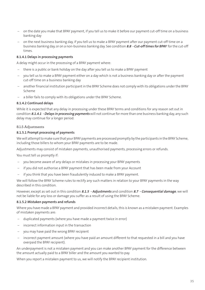- on the date you make that BPAY payment, if you tell us to make it before our payment cut-off time on a business banking day
- on the next business banking day, if you tell us to make a BPAY payment after our payment cut-off time on a business bankingday, or on a non-business bankingday. See condition **[8.8](#page-36-4) - [Cut-offtimes](#page-36-4) for BPAY** forthe cut-off times.

#### <span id="page-34-1"></span>**8.1.4.1 Delays in processing payments**

A delay might occur in the processing of a BPAY payment where:

- there is a public or bank holiday on the day after you tell us to make a BPAY payment
- you tell us to make a BPAY payment either on a day which is not a business banking day or after the payment cut-off time on a business banking day
- another financial institution participantin the BPAY Schemedoes not comply with its obligations underthe BPAY Scheme
- a biller fails to comply with its obligations under the BPAY Scheme.

#### **8.1.4.2 Continued delays**

<span id="page-34-0"></span>While it is expected that any delay in processing under these BPAY terms and conditions for any reason set out in condition **[8.1.4.1](#page-34-1) - Delays in [processing](#page-34-1) payments** will not continue for more than one business bankingday, any such delay may continue for a longer period.

#### 8.1.5 Adjustments

#### **8.1.5.1 Prompt processing of payments**

We will attempt to make sure that your BPAY payments are processed promptly by the participants in the BPAY Scheme, including those billers to whom your BPAY payments are to be made.

Adjustments may consist of mistaken payments, unauthorised payments, processing errors or refunds.

You must tell us promptly if:

- you become aware of any delays or mistakes in processing your BPAY payments
- if you did not authorise a BPAY payment that has been made from your Account
- if you think that you have been fraudulently induced to make a BPAY payment.

We will follow the BPAY Scheme rules to rectify any such matters in relation to your BPAY payments in the way described in this condition.

However, except as set out in this condition **[8.1.5](#page-34-0) - [Adjustments](#page-34-0)** and condition **[8.7](#page-36-3) - [Consequential](#page-36-3) damage**, we will not be liable for any loss or damage you suffer as a result of using the BPAY Scheme.

#### **8.1.5.2 Mistaken payments and refunds**

Where you have made a BPAY payment and provided incorrect details, this is known as a mistaken payment. Examples of mistaken payments are:

- duplicated payments (where you have made a payment twice in error)
- incorrect information input in the transaction
- you may have paid the wrong BPAY recipient
- incorrect payment amount (where you have paid an amount different to that requested in a bill and you have overpaid the BPAY recipient).

An underpayment is not a mistaken payment and you can make another BPAY payment for the difference between the amount actually paid to a BPAY biller and the amount you wanted to pay.

When you report a mistaken payment to us, we will notify the BPAY recipient institution.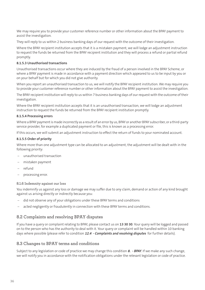We may require you to provide your customer reference number or other information about the BPAY payment to assist the investigation.

They will reply to us within 2 business banking days of our request with the outcome of their investigation.

Where the BPAY recipient institution accepts that it is a mistaken payment, we will lodge an adjustment instruction to request the funds be returned from the BPAY recipient institution and they will process a refund or partial refund promptly.

#### **8.1.5.3 Unauthorised transactions**

Unauthorised transactions occur where they are induced by the fraud of a person involved in the BPAY Scheme, or where a BPAY payment is made in accordance with a payment direction which appeared to us to be input by you or on your behalf but for which you did not give authority.

When you report an unauthorised transaction to us, we will notify the BPAY recipient institution. We may require you to provide your customer reference number or other information about the BPAY payment to assist the investigation.

The BPAY recipient institution will reply to us within 7 business bankingdays of our request with the outcome of their investigation.

Where the BPAY recipient institution accepts that it is an unauthorised transaction, we will lodge an adjustment instruction to request the funds be returned from the BPAY recipient institution promptly.

#### **8.1.5.4 Processing errors**

Where a BPAY paymentis made incorrectly as a result of an error by us, BPAY or another BPAY subscriber, or a third-party service provider, for example a duplicated payment or file, this is known as a processing error.

If this occurs, we will submit an adjustment instruction to effect the return of funds to your nominated account.

#### **8.1.5.5 Order of priority**

Where more than one adjustment type can be allocated to an adjustment, the adjustment will be dealt with in the following priority:

- unauthorised transaction
- mistaken payment
- refund
- processing error.

#### 8.1.6 Indemnity against our loss

<span id="page-35-0"></span>You indemnify us against any loss or damage we may suffer due to any claim, demand or action of any kind brought against us arising directly or indirectly because you:

- did not observe any of your obligations under these BPAY terms and conditions
- acted negligently or fraudulently in connection with these BPAY terms and conditions.

# <span id="page-35-1"></span>8.2 Complaints and resolving BPAY disputes

If you have a query or complaint relating to BPAY, please contact us on 13 30 30. Your query will be logged and passed on to the person who has the authority to deal with it. Your query or complaint will be handled within 10 banking days where possible (please refer to condition **[12.4](#page-49-3) - [Complaints](#page-49-3) and resolving disputes** for further details).

#### 8.3 Changes to BPAY terms and conditions

Subject to any legislation or code of practice we may change this condition **[8.](#page-33-0) - [BPAY](#page-33-0)**. If we make any such change, we will notify you in accordance with the notification obligations under the relevant legislation or code of practice.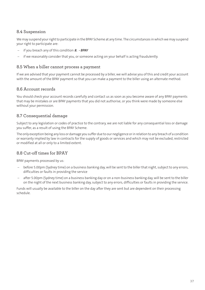# <span id="page-36-0"></span>8.4 Suspension

We may suspend your right to participate in the BPAY Scheme at any time. The circumstances in which we may suspend your right to participate are:

- if you breach any of this condition **[8.](#page-33-0) - [BPAY](#page-33-0)**
- <span id="page-36-1"></span>if we reasonably consider that you, or someone acting on your behalf is acting fraudulently.

### 8.5 When a biller cannot process a payment

<span id="page-36-2"></span>If we are advised that your payment cannot be processed by a biller, we will advise you of this and credit your account with the amount of the BPAY payment so that you can make a payment to the biller using an alternate method.

### 8.6 Account records

<span id="page-36-3"></span>You should check your account records carefully and contact us as soon as you become aware of any BPAY payments that may be mistakes or are BPAY payments that you did not authorise, or you think were made by someone else without your permission.

# 8.7 Consequential damage

Subject to any legislation or codes of practice to the contrary, we are not liable for any consequential loss or damage you suffer, as a result of using the BPAY Scheme.

<span id="page-36-4"></span>The only exception being any loss or damage you suffer due to our negligence or in relation to any breach of a condition or warranty implied by law in contracts for the supply of goods or services and which may not be excluded, restricted or modified at all or only to a limited extent.

# 8.8 Cut-off times for BPAY

BPAY payments processed by us:

- before 5.00pm (Sydney time) on a business bankingday, will be sent to the biller that night, subject to any errors, difficulties or faults in providing the service
- after 5.00pm (Sydney time) on a business banking day or on a non-business banking day, will be sent to the biller on the night of the next business banking day, subject to any errors, difficulties or faults in providing the service.

Funds will usually be available to the biller on the day after they are sent but are dependent on their processing schedule.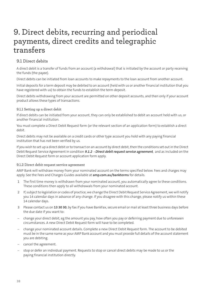# 9. Direct debits, recurring and periodical payments, direct credits and telegraphic transfers

# <span id="page-37-0"></span>9.1 Direct debits

A direct debit is a transfer of funds from an account (a withdrawal) that is initiated by the account or party receiving the funds (the payee).

Direct debits can be initiated from loan accounts to make repayments to the loan account from another account.

Initial deposits for a term deposit may be debited to an account (held with us or another financial institution that you have registered with us) to obtain the funds to establish the term deposit.

Direct debits withdrawing from your account are permitted on other deposit accounts, and then only if your account product allows these types of transactions.

### 9.1.1 Setting up a direct debit

If direct debits can be initiated from your account, they can only be established to debit an account held with us, or another financial institution.

You must complete a Direct Debit Request form (or the relevant section of an application form) to establish a direct debit.

Direct debits may not be available on a credit cards or other type account you hold with any paying financial institution that has not been verified by us.

<span id="page-37-1"></span>If you wish to set up a direct debit or to transact on an account by direct debit, then the conditions set out in the Direct Debit Request Service Agreement in condition **[9.1.2](#page-37-1) - Direct debit request service [agreement](#page-37-1)**, andas includedon the Direct Debit Request form or account application form apply.

#### 9.1.2 Direct debit request service agreement

AMP Bank will withdraw money from your nominated account on the terms specified below. Fees and charges may apply. See the Fees and Charges Guides available at **amp.com.au/bankterms** for details.

- 1 The first time money is withdrawn from your nominated account, you automatically agree to these conditions. These conditions then apply to all withdrawals from your nominated account.
- 2 If, subject to legislation or codes of practice, we change the Direct Debit Request Service Agreement, we will notify you 14 calendar days in advance of any change. If you disagree with this change, please notify us within these 14 calendar days.
- 3 Please contact us on **13 30 30**, by fax if you have BankFax, secure email or mail at least three businessdays before the due date if you want to:
- change your direct debit, eg the amount you pay, how often you pay or deferring payment due to unforeseen circumstances. A new Direct Debit Request form will have to be completed.
- change your nominated account details. Complete a new Direct Debit Request form. The account to be debited must be in the same name as your AMP Bank account and you must provide full details of the account statement you are debiting.
- cancel the agreement.
- stop or defer an individual payment. Requests to stop or cancel direct debits may be made to us or the paying financial institution directly.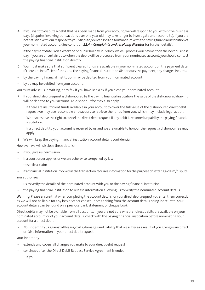- 4 If you want to dispute a debit that has been made from your account, we will respond to you within five business days (disputes involving transactions over one year old may take longer to investigate and respond to). If you are not satisfied with our response to your dispute, you can lodge a formal claim with the paying financial institution of your nominated account. (See condition **[12.4](#page-49-3) - [Complaints](#page-49-3) and resolving disputes** for further details).
- 5 If the payment date is on a weekend or public holiday in Sydney, we will process your payment on the next business day. If you are uncertain as to when the debit will be processed from your nominated account, you should contact the paying financial institution directly.
- 6 You must make sure that sufficient cleared funds are available in your nominated account on the payment date. If there are insufficient funds and the paying financial institution dishonours the payment, any charges incurred:
- by the paying financial institution may be debited from your nominated account.
- by us may be debited from your account.

You must advise us in writing, or by fax if you have BankFax if you close your nominated Account.

7 If your direct debit request is dishonoured by the paying financial institution, the value of the dishonoured drawing will be debited to your account. An dishonour fee may also apply.

If there are insufficient funds available in your account to cover the full value of the dishonoured direct debit request we may use reasonable endeavours to retrieve the funds from you, which may include legal action.

We also reserve the right to cancel the direct debit request if any debit is returned unpaid by the paying financial institution.

If a direct debit to your account is received by us and we are unable to honour the request a dishonour fee may apply.

8 We will keep the paying financial institution account details confidential.

However, we will disclose these details:

- if you give us permission
- if a court order applies or we are otherwise compelled by law
- to settle a claim
- if a financial institution involved in the transaction requires information for the purpose of settling a claim/dispute.

You authorise:

- us to verify the details of the nominated account with you or the paying financial institution.
- the paying financial institution to release information allowing us to verify the nominated account details.

Warning: Please ensure that when completing the account details for your direct debit request you enter them correctly as we will not be liable for any loss or other consequences arising from the account details being inaccurate. Your account details can be found on a previous bank statement or cheque book.

Direct debits may not be available from all accounts. If you are not sure whether direct debits are available on your nominated account or of your account details, check with the paying financial institution before nominating your account for a direct debit.

9 You indemnify us against all losses, costs,damages andliability thatwe suffer as a result of you giving us incorrect or false information in your direct debit request.

Your indemnity:

- extends and covers all changes you make to your direct debit request
- continues after the Direct Debit Request Service Agreement is ended.

If you: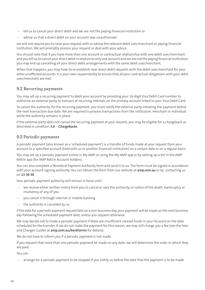- tell us to cancel your direct debit and we are not the paying financial institution or
- advise us that a direct debit on your account was unauthorised

we will not require you to raise your request with or advise the relevant debit user/merchant or paying financial institution. We will promptly process your request or deal with your advice.

You should note that if you have more than one account or contractual relationship with one debit user/merchant and you tell us to cancel your direct debit in relation to only one account and we are not the paying financial institution, you may end up cancelling all your direct debit arrangements with the same debit user/merchant.

When that happens, you may have to re-establish new direct debit requests with the debit user/merchant for your other unaffected accounts. It is your own responsibility to ensure that all your contractual obligations with your debit user/merchant are met.

# <span id="page-39-0"></span>9.2 Recurring payments

You may set up a recurring payment to debit your account by providing your 16-digit Visa Debit Card number to authorise an external party to transact at recurring intervals on the primary account linked to your Visa Debit Card.

To cancel the authority for the recurring payment, you must notify the external party initiating the payment before the next transaction due date. We are required to process transactions from the institution, merchant or individual while the authority remains in place.

<span id="page-39-1"></span>If the external party does not cancel the recurring payment at your request, you may be eligible for a chargeback as described in condition **[5.6](#page-22-2) - [Chargebacks](#page-22-2)**.

# 9.3 Periodic payments

A periodic payment (also known as a 'scheduled payment') is a transfer of funds made at your request from your account to a specified account (held with us or another financial institution) on a certain date or on a regular basis.

You may set up a periodic payment online in My AMP, or using the My AMP app or by setting up a bill in the AMP Bett3r app (for AMP Bett3r Account holders).

You can also complete a Periodical Payment Authority form and send it to us. The form must be signed in accordance with your account signing authority. You can obtain the form from our website at **amp.com.au** or by contacting us on **13 30 30**.

Your periodic payment authority will remain in force until:

- we receive either written notice from you to cancel or vary the authority, or notice of the death, bankruptcy or insolvency of any of you
- you cancel it through internet or mobile banking
- the authority is cancelled by us.

If the date for a periodic payment request falls on a non-business day, your payment will be made on the next business day following the scheduled payment date, unless you request otherwise.

We may decide not to make a periodic payment if there are insufficient cleared funds in your Account on the date scheduled for the transfer. If we do not make the payment for this reason, we may still charge you a fee (see the Fees and Charges Guides at **amp.com.au/bankterms** for details).

We do not have to inform you if a periodic payment is not made.

If you request that more than one periodic payment be made on any date, we will determine the order in which they are paid.

You can:

– arrange for a periodic payment to be stopped if you notify us before the date that the payment is to be made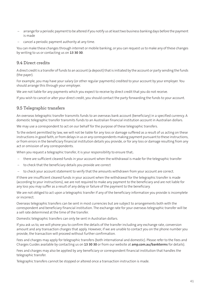- arrange for a periodic paymentto be alteredif you notify us atleasttwo business bankingdays before the payment is made
- cancel a periodic payment authority at any time.

You can make these changes through internet or mobile banking, or you can request us to make any of these changes by writing to us or contacting us on **13 30 30**.

# <span id="page-40-0"></span>9.4 Direct credits

A direct credit is a transfer of funds to an account (a deposit) that is initiated by the account or party sending the funds (the payer).

For example, you may have your salary (or other regular payments) credited to your account by your employer. You should arrange this through your employer.

We are not liable for any payments which you expect to receive by direct credit that you do not receive.

<span id="page-40-1"></span>If you wish to cancel or alter your direct credit, you should contact the party forwarding the funds to your account.

# 9.5 Telegraphic transfers

An overseas telegraphic transfer transmits funds to an overseas bank account (beneficiary) in a specified currency. A domestic telegraphic transfer transmits funds to an Australian financial institution account in Australian dollars.

We may use a correspondent to act on our behalf for the purpose of these telegraphic transfers.

To the extent permitted by law, we will not be liable for any loss or damage suffered as a result of us acting on these instructions in good faith, or from delays in us or any correspondents making payment pursuant to these instructions, or from errors in the beneficiary financial institution details you provide, or for any loss ordamage resulting from any act or omission of any correspondents.

When you request a telegraphic transfer, it is your responsibility to ensure that;

- there are sufficient cleared funds in your account when the withdrawal is made for the telegraphic transfer
- to check that the beneficiary details you provide are correct
- to check your account statement to verify that the amounts withdrawn from your account are correct.

If there are insufficient cleared funds in your account when the withdrawal for the telegraphic transfer is made (according to your instructions), we are not required to make any payment to the beneficiary and are not liable for any loss you may suffer as a result of any delay or failure of the payment to the beneficiary.

We are not obliged to act upon a telegraphic transfer if any of the beneficiary information you provide is incomplete or incorrect.

Overseas telegraphic transfers can be sent in most currencies but are subject to arrangements both with the correspondent and beneficiary financial institution. The exchange rate for your overseas telegraphic transfer will be a sell rate determined at the time of the transfer.

Domestic telegraphic transfers can only be sent in Australian dollars.

If you ask us to, we will phone you to confirm the details of the transfer including any exchange rate, conversion amount and any transaction charges that apply. However, if we are unable to contact you on the phone number you provide, the transaction will proceed without further confirmation.

Fees and charges may apply for telegraphic transfers (both international and domestic). Please refer to the Fees and Charges Guides available by contacting us on **13 30 30** or from our website at **amp.com.au/bankterms** for details).

Fees and charges may also be applied by any beneficiary or correspondent financial institution that handles the telegraphic transfer.

Telegraphic transfers cannot be stopped or altered once a transaction instruction is made.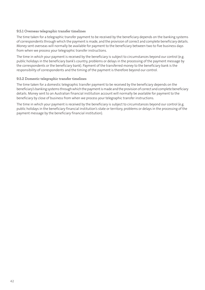#### 9.5.1 Overseas telegraphic transfer timelines

The time taken for a telegraphic transfer payment to be received by the beneficiary depends on the banking systems of correspondents through which the payment is made, and the provision of correct and complete beneficiary details. Money sent overseas will normally be available for payment to the beneficiary between two to five business days from when we process your telegraphic transfer instructions.

The time in which your payment is received by the beneficiary is subject to circumstances beyond our control (e.g. public holidays in the beneficiary bank's country, problems or delays in the processing of the payment message by the correspondents or the beneficiary bank). Payment of the transferred money to the beneficiary bank is the responsibility of correspondents and the timing of the payment is therefore beyond our control.

#### 9.5.2 Domestic telegraphic transfer timelines

The time taken for a domestic telegraphic transfer payment to be received by the beneficiary depends on the beneficiary's banking systems through which the payment is made and the provision of correct and complete beneficiary details. Money sent to an Australian financial institution account will normally be available for payment to the beneficiary by close of business from when we process your telegraphic transfer instructions.

The time in which your payment is received by the beneficiary is subject to circumstances beyond our control (e.g. public holidays in the beneficiary financial institution's state or territory, problems or delays in the processing of the payment message by the beneficiary financial institution).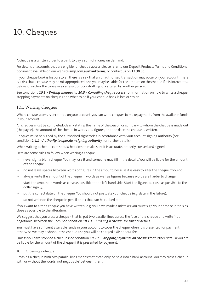# 10. Cheques

<span id="page-42-0"></span>A cheque is a written order to a bank to pay a sum of money on demand.

For details of accounts that are eligible for cheque access please refer to our Deposit Products Terms and Conditions document available on our website **amp.com.au/bankterms**, or contact us on **13 30 30**.

If your cheque book is lost or stolen there is a risk that an unauthorised transaction may occur on your account. There is a risk that a cheque may be misappropriated, and you may be liable for the amount on the cheque if it is intercepted before it reaches the payee or as a result of poor drafting it is altered by another person.

<span id="page-42-1"></span>See conditions **[10.1](#page-42-1) - Writing [cheques](#page-42-1)** to **[10.5](#page-44-2) - [Cancelling](#page-44-2) cheque access** for information on how to write a cheque, stopping payments on cheques and what to do if your cheque book is lost or stolen.

# 10.1 Writing cheques

Where cheque access is permitted on your account, you can write cheques to make payments from the available funds in your account.

All cheques must be completed, clearly stating the name of the person or company to whom the cheque is made out (the payee), the amount of the cheque in words and figures, and the date the cheque is written.

Cheques must be signed by the authorised signatories in accordance with your account signing authority (see condition **[2.4.1](#page-10-1) - [Authority](#page-10-1) to operate – signing authority** for further details).

When writing a cheque care should be taken to make sure it is accurate, properly crossed and signed.

Here are some rules to follow when writing a cheque:

- never sign a blank cheque. You may lose it and someone may fill in the details. You will be liable for the amount of the cheque.
- no not leave spaces between words or figures in the amount, because it is easy to alter the cheque if you do
- always write the amount of the cheque in words as well as figures because words are harder to change
- start the amount in words as close as possible to the left-hand side. Start the figures as close as possible to the dollar sign (\$).
- put the correct date on the cheque. You should not postdate your cheque (e.g. date in the future).
- do not write on the cheque in pencil or ink that can be rubbed out.

If you want to alter a cheque you have written (e.g. you have made a mistake) you must sign your name or initials as close as possible to the alteration.

We suggest that you cross a cheque - that is, put two parallel lines across the face of the cheque and write 'not negotiable' between the lines. See condition **[10.1.1](#page-42-2) - [Crossing](#page-42-2) <sup>a</sup> cheque** for further details.

<span id="page-42-2"></span>You must have sufficient available funds in your account to cover the cheque when it is presented for payment, otherwise we may dishonour the cheque and you will be charged a dishonour fee.

Unless you have stopped a cheque (see condition **[10.2.1](#page-43-1) - Stopping [payments](#page-43-1) on cheques** for further details) you are be liable for the amount of the cheque if it is presented for payment.

#### 10.1.1 Crossing a cheque

Crossing a cheque with two parallel lines means that it can only be paidinto a bank account. You may cross a cheque with or without the words 'not negotiable' between them.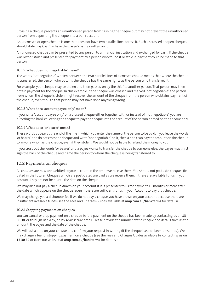Crossing a cheque prevents an unauthorised person from cashing the cheque but may not prevent the unauthorised person from depositing the cheque into a bank account.

An uncrossed or open cheque is one that does not have two parallel lines across it. Such uncrossed or open cheques should state 'Pay Cash' or have the payee's name written on it.

An uncrossed cheque can be presented by any person to a financial institution and exchanged for cash. If the cheque was lost or stolen and presented for payment by a person who found it or stole it, payment could be made to that person.

#### 10.1.2 What does 'not negotiable' mean?

The words 'not negotiable' written between the two parallel lines of a crossed cheque means that where the cheque is transferred, the person who obtains the cheque has the same rights as the person who transferred it.

For example, your cheque may be stolen and then passed on by the thief to another person. That person may then obtain payment for the cheque. In this example, if the cheque was crossed and marked 'not negotiable', the person from whom the cheque is stolen might recover the amount of the cheque from the person who obtains payment of the cheque, even though that person may not have done anything wrong.

#### 10.1.3 What does 'account payee only' mean?

If you write 'account payee only' on a crossed cheque either together with or instead of 'not negotiable', you are directing the bank collecting the cheque to pay the cheque into the account of the person named on the cheque only.

#### 10.1.4 What does 'or bearer' mean?

These words appear at the end of the line in which you enter the name of the person to be paid. If you leave the words 'or bearer' anddo not cross the cheque and write 'not negotiable' on it,then a bank can pay the amount on the cheque to anyone who has the cheque, even if they stole it. We would not be liable to refund the money to you.

<span id="page-43-0"></span>If you cross out the words 'or bearer' and a payee wants to transfer the cheque to someone else, the payee must first sign the back of the cheque and name the person to whom the cheque is being transferred to.

#### 10.2 Payments on cheques

All cheques are paid and debited to your account in the order we receive them. You should not postdate cheques (ie dated in the future). Cheques which are post-dated are paid as we receive them, if there are available funds in your account. They are not held until the date on the cheque.

<span id="page-43-1"></span>We may also not pay a cheque drawn on your account if it is presented to us for payment 15 months or more after the date which appears on the cheque, even if there are sufficient funds in your Account to pay that cheque.

We may charge you a dishonour fee if we do not pay a cheque you have drawn on your account because there are insufficient available funds (see the Fees and Charges Guides available at **amp.com.au/bankterms** for details).

#### 10.2.1 Stopping payments on cheques

You can cancel or stop payment on a cheque before payment on the cheque has been made by contacting us on **13 30 30**, or through BankFax, or My AMP secure email. Please provide the number of the cheque and details such as the amount, the payee and the date of the cheque.

We will put a stop on your cheque and confirm your request in writing (if the cheque has not been presented). We may charge a fee for stopping payment on a cheque (see the Fees and Charges Guides available by contacting us on **13 30 30** or from our website at **amp.com.au/bankterms** for details ).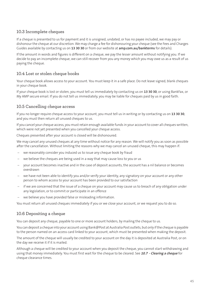# <span id="page-44-0"></span>10.3 Incomplete cheques

If a cheque is presented to us for payment and it is unsigned, undated, or has no payee included, we may pay or dishonour the cheque at our discretion. We may charge a fee for dishonouring your cheque (see the Fees and Charges Guides available by contacting us on **13 30 30** or from our website at **amp.com.au/bankterms** for details).

If the amount in words and figures is different on a cheque, we pay the lesser amount without notifying you. If we decide to pay an incomplete cheque, we can still recover from you any money which you may owe us as a result of us paying the cheque.

# <span id="page-44-1"></span>10.4 Lost or stolen cheque books

Your cheque book allows access to your account. You must keep it in a safe place. Do not leave signed, blank cheques in your cheque book.

<span id="page-44-2"></span>If your cheque book is lost or stolen, you must tell us immediately by contacting us on **13 30 30**, or using BankFax, or My AMP secure email. If you do not tell us immediately, you may be liable for cheques paid by us in good faith.

# 10.5 Cancelling cheque access

If you no longer require cheque access to your account, you must tell us in writing or by contacting us on **13 30 30**, and you must then return all unused cheques to us.

If you cancel your cheque access, you must retain enough available funds in your account to cover all cheques written, which were not yet presented when you cancelled your cheque access.

Cheques presented after your account is closed will be dishonoured.

We may cancel any unused cheques at any time without notice for any reason. We will notify you as soon as possible after the cancellation. Without limiting the reasons why we may cancel an unused cheque, this may happen if:

- we reasonably consider you induced us to issue any cheque book by fraud
- we believe the cheques are being used in a way that may cause loss to you or us
- your account becomes inactive and in the case of deposit accounts, the account has a nil balance or becomes overdrawn
- we have not been able to identify you and/or verify your identity, any signatory on your account or any other person to whom access to your account has been provided to our satisfaction
- if we are concerned that the issue of a cheque on your account may cause us to breach of any obligation under any legislation, or to commit or participate in an offence
- <span id="page-44-3"></span>we believe you have provided false or misleading information.

You must return all unused cheques immediately if you or we close your account, or we request you to do so.

# 10.6 Depositing a cheque

You can deposit any cheque, payable to one or more account holders, by mailing the cheque to us.

You can deposit a cheque into your account using Bank@Post at Australia Post outlets, but only ifthe cheque is payable to the person named on an access card linked to your account, which must be presented when making the deposit.

The amount of the cheque will usually be credited to your account on the day it is deposited at Australia Post, or on the day we receive it if it is mailed.

Although a cheque will be credited to your account when you deposit the cheque, you cannot start withdrawing and using that money immediately. You must first wait for the cheque to be cleared. See **[10.7](#page-45-0) - [Clearing](#page-45-0) <sup>a</sup> cheque** for cheque clearance times.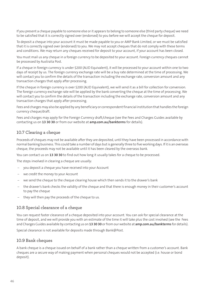If you present a cheque payable to someone else or it appears to belong to someone else (third party cheque) we need to be satisfied that it is correctly signed over (endorsed) to you before we will accept the cheque for deposit.

To deposit a cheque into your account it must be made payable to you or AMP Bank Limited, or we must be satisfied that it is correctly signed over (endorsed) to you. We may not accept cheques that do not comply with these terms and conditions. We may return any cheques received for deposit to your account, if your account has been closed.

You must mail us any cheque in a foreign currency to be deposited to your account. Foreign currency cheques cannot be processed by Australia Post.

If a cheque in foreign currency is under \$200 (AUD Equivalent), it will be processed to your account within one to two days of receipt by us. The foreign currency exchange rate will be a buy rate determined at the time of processing. We will contact you to confirm the details of the transaction including the exchange rate, conversion amount and any transaction charges that apply after processing.

If the cheque in foreign currency is over \$200 (AUD Equivalent), we will send it as a bill for collection for conversion. The foreign currency exchange rate will be applied by the bank converting the cheque at the time of processing. We will contact you to confirm the details of the transaction including the exchange rate, conversion amount and any transaction charges that apply after processing.

Fees and charges may also be applied by any beneficiary or correspondent financial institution that handles the foreign currency cheque/draft.

<span id="page-45-0"></span>Fees and charges may apply for the Foreign Currency draft/cheque (see the Fees and Charges Guides available by contacting us on **13 30 30** or from our website at **amp.com.au/bankterms** for details).

# 10.7 Clearing a cheque

Proceeds of cheques may not be available after they are deposited, until they have been processed in accordance with normal banking business. This could take a number of days but is generally three to five working days. If it is an overseas cheque, the proceeds may not be available until it has been cleared by the overseas bank.

You can contact us on **13 30 30** to find out how long it usually takes for a cheque to be processed.

The steps involved in clearing a cheque are usually:

- you deposit a cheque you have received into your Account
- we credit the money to your Account
- we send the cheque to the cheque clearing house which then sends it to the drawer's bank
- <span id="page-45-1"></span>– the drawer's bank checks the validity of the cheque and that there is enough money in their customer's account to pay the cheque
- they will then pay the proceeds of the cheque to us.

# 10.8 Special clearance of a cheque

<span id="page-45-2"></span>You can request faster clearance of a cheque deposited into your account. You can ask for special clearance at the time of deposit, and we will provide you with an estimate of the time it will take plus the cost involved (see the Fees and ChargesGuides available by contacting us on **13 30 30** orfrom our website at **amp.com.au/bankterms** fordetails).

Special clearance is not available for deposits made through Bank@Post.

#### 10.9 Bank cheques

A bank cheque is a cheque issued on behalf of a bank rather than a cheque written from a customer's account. Bank cheques are a secure way of making payment when personal cheques would not be accepted (i.e. house or bond deposit).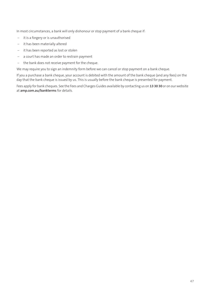In most circumstances, a bank will only dishonour or stop payment of a bank cheque if:

- it is a forgery or is unauthorised
- it has been materially altered
- it has been reported as lost or stolen
- a court has made an order to restrain payment
- the bank does not receive payment for the cheque.

We may require you to sign an indemnity form before we can cancel or stop payment on a bank cheque.

If you a purchase a bank cheque, your account is debited with the amount of the bank cheque (and any fees) on the day that the bank cheque is issued by us. This is usually before the bank cheque is presented for payment.

Fees apply for bank cheques. See the Fees and ChargesGuides available by contacting us on **13 30 30** or on our website at **amp.com.au/bankterms** for details.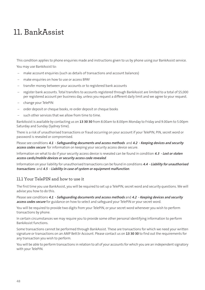# 11. BankAssist

<span id="page-47-0"></span>This condition applies to phone enquiries made and instructions given to us by phone using our BankAssist service. You may use BankAssist to:

- make account enquiries (such as details of transactions and account balances)
- make enquiries on how to use or access BPAY
- transfer money between your accounts or to registered bank accounts
- register bank accounts. Total transfers to accounts registered through BankAssist are limited to a total of \$5,000 per registered account per business day, unless you request a different daily limit and we agree to your request.
- change your TelePIN
- order deposit or cheque books, re-order deposit or cheque books
- such other services that we allow from time to time.

BankAssist is available by contacting us on **13 30 30** from 8.00am to 8.00pm Monday to Friday and9.00am to 5.00pm Saturday and Sunday (Sydney time).

There is a risk of unauthorised transactions or fraud occurring on your account if your TelePIN, PIN, secret word or password is revealed or compromised.

Please see conditions **[4.1](#page-16-0) - [Safeguarding](#page-16-0) documents and access methods** and **[4.2](#page-16-1) - [Keeping](#page-16-1) devices and security access [codes](#page-16-1) secure** for information on keeping your security access device secure.

Information on what to do if your security access device is revealed can be found in condition **[4.3](#page-17-0) - Lost or [stolen](#page-17-0) access [cards/mobile](#page-17-0) devices or security access code revealed**.

<span id="page-47-1"></span>Information on your liability for unauthorised transactions can be found in conditions [4.4](#page-17-1) - Liability for [unauthorised](#page-17-1) **[transactions](#page-17-1)** and **[4.5](#page-19-0) - Liability in case of system or equipment [malfunction](#page-19-0)**.

# 11.1 Your TelePIN and how to use it

The first time you use BankAssist, you will be required to set up a TelePIN, secret word and security questions. We will advise you how to do this.

Please see conditions **[4.1](#page-16-0) - [Safeguarding](#page-16-0) documents and access methods** and **[4.2](#page-16-1) - [Keeping](#page-16-1) devices and security access [codes](#page-16-1) secure** for guidance on how to select and safeguard your TelePIN or your secret word.

You will be required to provide two digits from your TelePIN, or your secret word whenever you wish to perform transactions by phone.

In certain circumstances we may require you to provide some other personal identifying information to perform BankAssist functions.

Some transactions cannot be performed through BankAssist. These are transactions for which we need your written signature or transactions on an AMP Bett3r Account. Please contact us on **13 30 30** to find out the requirements for any transaction you wish to perform.

You will be able to perform transactions in relation to all of your accounts for which you are an independent signatory with your TelePIN.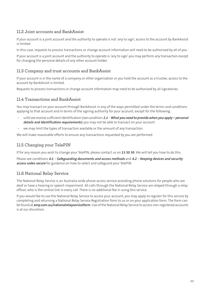# <span id="page-48-0"></span>11.2 Joint accounts and BankAssist

If your account is a joint account and the authority to operate is not 'any to sign', access to the account by BankAssist is limited.

In this case, requests to process transactions or change account information will need to be authorised by all of you.

If your account is a joint account and the authority to operate is 'any to sign' you may perform any transaction except for changing the personal details of any other account holder.

# <span id="page-48-1"></span>11.3 Company and trust accounts and BankAssist

If your account is in the name of a company or other organisation or you hold the account as a trustee, access to the account by BankAssist is limited.

<span id="page-48-2"></span>Requests to process transactions or change account information may need to be authorised by all signatories.

# 11.4 Transactions and BankAssist

You may transact on your account through BankAssist in any of the ways permitted under the terms and conditions applying to that account and in terms of the signing authority for your account, except for the following:

- until we receive sufficientidentification (see condition **[2.1](#page-7-0) - What you need to [provide](#page-7-0) when you apply – personal details and [identification](#page-7-0) requirements**) you may not be able to transact on your account
- <span id="page-48-3"></span>– we may limit the types of transaction available or the amount of any transaction.

We will make reasonable efforts to ensure any transactions requested by you are performed.

# 11.5 Changing your TelePIN

If for any reason you wish to change your TelePIN, please contact us on **13 30 30**. We will tell you how to do this.

<span id="page-48-4"></span>Please see conditions **[4.1](#page-16-0) - [Safeguarding](#page-16-0) documents and access methods** and **[4.2](#page-16-1) - [Keeping](#page-16-1) devices and security access [codes](#page-16-1) secure** for guidance on how to select and safeguard your TelePIN.

# 11.6 National Relay Service

The National Relay Service is an Australia-wide phone access service providing phone solutions for people who are deaf or have a hearing or speech impairment. All calls through the National Relay Service are relayed through a relay officer, who is the central link in every call. There is no additional fee in using this service.

If you would like to use the National Relay Service to access your account, you may apply to register for this service by completing and returning a National Relay Service Registration form to us or on your application form. The form can be found at amp.com.au/nationalrelayserviceform. Use of the National Relay Service to access non-registered accounts is at our discretion.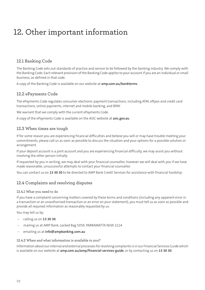# 12. Other important information

# <span id="page-49-0"></span>12.1 Banking Code

The Banking Code sets out standards of practice and service to be followed by the banking industry. We comply with the Banking Code. Each relevant provision of the Banking Code applies to your account if you are an individual or small business, as defined in that code.

<span id="page-49-1"></span>A copy of the Banking Code is available on our website at **amp.com.au/bankterms**.

# 12.2 ePayments Code

The ePayments Code regulates consumer electronic payment transactions, including ATM, eftpos and credit card transactions, online payments, internet and mobile banking, and BPAY.

We warrant that we comply with the current ePayments Code.

<span id="page-49-2"></span>A copy of the ePayments Code is available on the ASIC website at **asic.gov.au**.

### 12.3 When times are tough

If for some reason you are experiencing financial difficulties and believe you will or may have trouble meeting your commitments, please call us as soon as possible to discuss the situation and your options for a possible solution or arrangement.

If your deposit account is a joint account and you are experiencing financial difficulty, we may assist you without involving the other person initially.

<span id="page-49-3"></span>If requested by you in writing, we may deal with your financial counsellor, however we will deal with you if we have made reasonable, unsuccessful attempts to contact your financial counsellor.

You can contact us on **13 30 30** to be directed to AMP Bank Credit Services for assistance with financial hardship.

# 12.4 Complaints and resolving disputes

#### 12.4.1 What you need to do

If you have a complaint concerning matters covered by these terms and conditions (including any apparent error in a transaction or an unauthorised transaction or an error on your statement), you must tell us as soon as possible and provide all required information as reasonably requested by us.

You may tell us by:

- calling us on **13 30 30**
- mailing us at AMP Bank, Locked Bag 5059, PARRAMATTA NSW 2124
- emailing us at **info@ampbanking.com.au**

#### 12.4.2 When and what information is available to you?

Information about our internal and external processes for resolving complaints is in our Financial Services Guide which is available on our website at **amp.com.au/amp/financial-services-guide**, or by contacting us on **13 30 30**.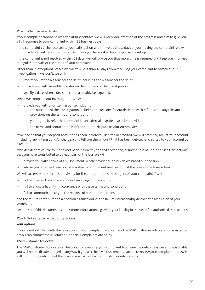#### 12.4.3 What we need to do

If your complaint cannot be resolved at first contact, we will keep you informed of the progress and aim to give you a full response to your complaint within 21 business days.

If the complaint can be resolved to your satisfaction within five business days of you making the complaint, we will not provide you with a written response unless you have asked for a response in writing.

If the complaint is not resolved within 21 days, we will advise you that more time is required and keep you informed at regular intervals of the status of your complaint.

Other than in exceptional cases we will take less than 45 days from receiving your complaint to complete our investigation. If we don't, we will:

- inform you of the reasons for the delay including the reasons for the delay
- provide you with monthly updates on the progress of the investigation
- specify a date when a decision can reasonably be expected.

When we complete our investigation, we will:

- provide you with a written response including:
	- $-$  the outcome of the investigation including the reasons for our decision with reference to any relevant provisions on the terms and conditions
	- your rights to refer the complaint to an external dispute resolution provider
	- the name and contact details of the external dispute resolution provider.

If we decide that your deposit account has been incorrectly debited or credited, we will promptly adjust your account (including any interest and/or charges) and tell you the amount that has been debited or credited to your account as a result.

If we decide that your account has not been incorrectly debited or credited, or (in the case of unauthorised transactions) that you have contributed to at least part of the loss, we will:

- provide you with copies of any document or other evidence on which we based our decision
- advise you whether there was any system or equipment malfunction at the time of the transaction.

We will accept part or full responsibility for the amount that is the subject of your complaint if we:

- fail to observe the above complaint investigation procedures
- fail to allocate liability in accordance with these terms and conditions
- fail to communicate to you the reasons of our determinations

and the failure contributed to a decision against you, or the failure unreasonably delayed the resolution of your complaint.

Section [4.4](#page-17-1) of this document includes more information regarding your liability in the case of unauthorised transactions.

#### 12.4.4 Not satisfied with our decision?

#### **Your options**

If you're not satisfied with the resolution of your complaint, you can ask the AMP Customer Advocate for assistance or you can contact the Australian Financial Complaints Authority .

#### **AMP Customer Advocate**

The AMP Customer Advocate can help you by reviewing your complaint to ensure the outcome is fair and reasonable. you will not be disadvantaged in any way if you ask the AMP Customer Advocate to review your complaint and AMP will honour the outcome of the review. You can contact our Customer Advocate by: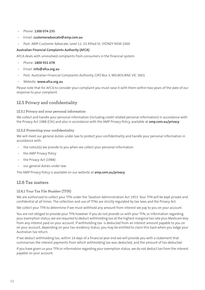- Phone: **1300 074 235**
- Email: **customeradvocate@amp.com.au**
- Post: AMP Customer Advocate, Level 11, 33 Alfred St, SYDNEY NSW 2000

#### **Australian Financial Complaints Authority (AFCA)**

AFCA deals with unresolved complaints from consumers in the financial system.

- Phone: **1800 931 678**
- Email: **info@afca.org.au**
- Post: Australian Financial Complaints Authority, GPO Box 3, MELBOURNE VIC 3001
- Website: **www.afca.org.au**

<span id="page-51-0"></span>Please note that for AFCA to consider your complaint you must raise it with them within two years of the date of our response to your complaint.

# 12.5 Privacy and confidentiality

#### 12.5.1 Privacy and your personal information

We collect and handle your personal information (including credit-related personal information) in accordance with the Privacy Act 1988 (Cth) and also in accordance with the AMP Privacy Policy, available at **amp.com.au/privacy**.

#### 12.5.2 Protecting your confidentiality

We will meet our general duties under law to protect your confidentiality and handle your personal information in accordance with:

- the notice(s) we provide to you when we collect your personal information
- the AMP Privacy Policy
- the Privacy Act (1988)
- <span id="page-51-1"></span>our general duties under law.

The AMP Privacy Policy is available on our website at **amp.com.au/privacy**.

#### 12.6 Tax matters

#### 12.6.1 Your Tax File Number (TFN)

We are authorised to collect your TFN under the Taxation Administration Act 1953. Your TFN will be kept private and confidential at all times. The collection and use of TFNs are strictly regulated by tax laws and the Privacy Act.

We collect your TFN to determine if we must withhold any amount from interest we pay to you on your account.

You are not obliged to provide your TFN however if you do not provide us with your TFN, or information regarding your exemption status, we are required to deduct withholding tax at the highest marginal tax rate plus Medicare levy from any interest paid on your account. If withholding tax is deducted from an interest amount payable to you on on your account, depending on your tax residency status, you may be entitled to claim this back when you lodge your Australian tax return.

If we deduct withholding tax, within 14 days of a financial year end we will provide you with a statement that summarises the interest payments from which withholding tax was deducted, and the amount of tax deducted.

If you have given us your TFN or information regarding your exemption status, we do not deduct tax from the interest payable on your account.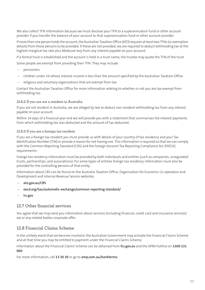We also collect TFN information because we must disclose your TFN to a superannuation fund or other account provider if you transfer the balance of your account to that superannuation fund or other account provider.

If more than one person holds the account, the Australian Taxation Office (ATO) requires at least two TFNs (or exemption details) from those persons to be provided. If these are not provided, we are required to deduct withholding tax at the highest marginal tax rate plus Medicare levy from any interest payable on your account.

If a formal trust is established and the account is held in a trust name, the trustee may quote the TFN of the trust.

Some people are exempt from providing their TFN. They may include:

- pensioners
- children under 16 whose interest income is less than the amount specified by the Australian Taxation Office
- religious and voluntary organisations that are exempt from tax.

Contact the Australian Taxation Office for more information relating to whether or not you are tax exempt from withholding tax.

#### 12.6.2 If you are not a resident in Australia

If you are not resident in Australia, we are obliged by law to deduct non-resident withholding tax from any interest payable on your account.

Within 14 days of a financial year end we will provide you with a statement that summarises the interest payments from which withholding tax was deducted and the amount of tax deducted.

#### 12.6.3 If you are a foreign tax resident

If you are a foreign tax resident you must provide us with details of your country of tax residency and your Tax Identification Number (TIN) or provide a reason for not having one. This information is required so that we can comply with the Common Reporting Standard (CRS) and the Foreign Account Tax Reporting Compliance Act (FATCA) requirements.

Foreign tax residency information must be provided by both individuals andentities (such as companies, unregulated trusts, partnerships, and associations). For some types of entities foreign tax residency information must also be provided for the controlling persons of that entity.

Information about CRS can be found on the Australia Taxation Office, Organisation for Economic Co-operation and Development and Internal Revenue Service websites.

- <span id="page-52-0"></span>– **ato.gov.au/CRS**
- **oecd.org/tax/automatic-exchange/common-reporting-standard/**
- **irs.gov**

#### <span id="page-52-1"></span>12.7 Other financial services

You agree that we may send you information about services (including financial, credit card and insurance services) we or any related bodies corporate offer.

# 12.8 Financial Claims Scheme

In the unlikely event that we become insolvent, the Australian Government may activate the Financial Claims Scheme and at that time you may be entitled to payment under the Financial Claims Scheme.

Information about the Financial Claims Scheme can be obtained from **fcs.gov.au** and the APRA hotline on **1300 131 060**.

For more information, call **13 30 30** or go to **amp.com.au/bankterms**.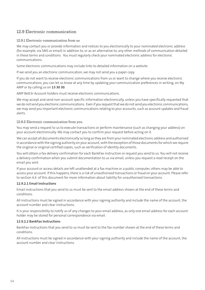# <span id="page-53-0"></span>12.9 Electronic communication

#### 12.9.1 Electronic communication from us

We may contact you or provide information and notices to you electronically to your nominated electronic address (for example, via SMS or email) in addition to, or as an alternative to, any other methods of communication detailed in these terms and conditions. You must regularly check your nominated electronic address for electronic communications.

Some electronic communications may include links to detailed information on a website.

If we send you an electronic communication, we may not send you a paper copy.

If you do not want to receive electronic communications from us or want to change where you receive electronic communications, you can let us know at any time by updating your communication preferences in writing, on My AMP or by calling us on **13 30 30**.

AMP Bett3r Account holders must receive electronic communications.

We may accept and send non-account specific information electronically, unless you have specifically requested that we do not send you electronic communications. Even if you request that we do not send you electronic communications, we may send you important electronic communications relating to your accounts, such as account updates and fraud alerts.

#### 12.9.2 Electronic communication from you

You may send a request to us to execute transactions or perform maintenance (such as changing your address) on your account electronically. We may contact you to confirm your request before acting on it.

We can accept all documents electronically so long as they are from your nominated electronic address and authorised in accordance with the signing authority on your account, with the exception of those documents for which we require the original or original certified copies, such as verification of identity documents.

You will obtain a fax delivery confirmation for each BankFax instruction or request you send to us. You will not receive a delivery confirmation when you submit documentation to us via email, unless you request a read receipt on the email you sent.

If your account or access details are left unattended at a fax machine or a public computer, others may be able to access your account. If this happens, there is a risk of unauthorised transactions or fraud on your account. Please refer to section [4.4](#page-17-1) of this document for more information about liability for unauthorised transactions.

#### **12.9.2.1 Email instructions**

Email instructions that you send to us must be sent to the email address shown at the end of these terms and conditions.

All instructions must be signed in accordance with your signing authority and include the name of the account, the account number and clear instructions.

It is your responsibility to notify us of any changes to your email address, as only one email address for each account holder may be stored for personal correspondence via email.

#### **12.9.2.2 BankFax Instructions**

BankFax instructions that you send to us must be sent to the fax number shown at the end of these terms and conditions.

All instructions must be signed in accordance with your signing authority and include the name of the account, the account number and clear instructions.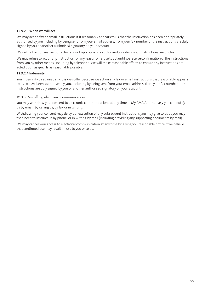#### **12.9.2.3 When we will act**

We may act on fax or email instructions if it reasonably appears to us that the instruction has been appropriately authorised by you including by being sent from your email address, from your fax number or the instructions are duly signed by you or another authorised signatory on your account.

We will not act on instructions that are not appropriately authorised, or where your instructions are unclear.

We may refuse to act on any instruction for any reason or refuse to act until we receive confirmation of the instructions from you by other means, including by telephone. We will make reasonable efforts to ensure any instructions are acted upon as quickly as reasonably possible.

#### **12.9.2.4 Indemnity**

You indemnify us against any loss we suffer because we act on any fax or email instructions that reasonably appears to us to have been authorised by you, including by being sent from your email address, from your fax number or the instructions are duly signed by you or another authorised signatory on your account.

#### 12.9.3 Cancelling electronic communication

You may withdraw your consent to electronic communications at any time in My AMP. Alternatively you can notify us by email, by calling us, by fax or in writing.

Withdrawing your consent may delay our execution of any subsequent instructions you may give to us as you may then need to instruct us by phone, or in writing by mail (including providing any supporting documents by mail).

We may cancel your access to electronic communication at any time by giving you reasonable notice if we believe that continued use may result in loss to you or to us.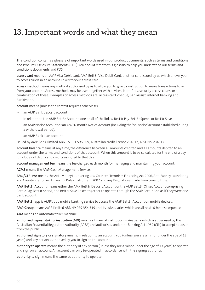# 13. Important words and what they mean

<span id="page-55-0"></span>This condition contains a glossary of important words used in our product documents, such as terms and conditions and Product Disclosure Statements (PDS). You should refer to this glossary to help you understand our terms and conditions documents and PDS.

**access card** means an AMP Visa Debit card, AMP Bett3r Visa Debit Card, or other card issued by us which allows you to access funds in an account linked to your access card.

**access method** means any method authorised by us to allow you to give us instruction to make transactions to or from your account. Access methods may be used together with devices, identifiers, security access codes, or a combination of these. Examples of access methods are: access card, cheque, BankAssist, internet banking and BankPhone.

**account** means (unless the context requires otherwise):

- an AMP Bank deposit account
- in relation to the AMP Bett3r Account, one or all of the linked Bett3r Pay, Bett3r Spend, or Bett3r Save
- an AMP Notice Account or an AMP 6-month Notice Account (including the 'on-notice' account established during a withdrawal period).
- an AMP Bank loan account

issued by AMP Bank Limited ABN 15 081 596 009, Australian credit licence 234517, AFSL No. 234517.

**account balance** means at any time, the difference between all amounts credited and all amounts debited to an account under the terms and conditions of that account. When this amount is to be calculated for the end of a day, it includes all debits and credits assigned to that day.

**account management fee** means the fee charged each month for managing and maintaining your account.

**ACMS** means the AMP Cash Management Service.

**AML/CTF laws** means the Anti-Money Laundering and Counter- Terrorism Financing Act 2006, Anti-Money Laundering and Counter-Terrorism Financing Rules Instrument 2007 and any Regulations made from time to time.

**AMP Bett3r Account** means either the AMP Bett3r Deposit Account or the AMP Bett3r Offset Account comprising Bett3r Pay, Bett3r Spend, and Bett3r Save linked together to operate through the AMP Bett3r App as if they were one bank account.

**AMP Bett3r app** is AMP's app mobile banking service to access the AMP Bett3r Account on mobile devices.

**AMP Group** means AMP Limited ABN 49 079 354 519 and its subsidiaries which are all related bodies corporate.

**ATM** means an automatic teller machine.

**authorised deposit-taking institution (ADI)** means a financial institution in Australia which is supervised by the Australian Prudential Regulation Authority (APRA) and authorised under the Banking Act 1959 (Cth) to accept deposits from the public.

**authorised signatory** or **signatory** means, in relation to an account, you (unless you are a minor under the age of 13 years) and any person authorised by you to sign on the account.

**authority to operate** means the authority of any person (unless they are a minor under the age of 13 years) to operate and sign on an account. An account can only be operated in accordance with the signing authority.

**authority to sign** means the same as authority to operate.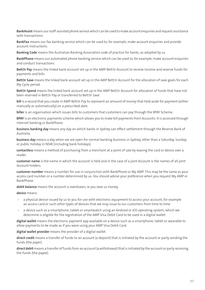**BankAssist** means our staff-assisted phone servicewhich can be usedto make account enquiries andrequest assistance with transactions.

**BankFax** means our fax banking service which can be used to, for example, make account enquiries and provide account instructions.

**Banking Code** means the Australian Banking Association code of practice for banks, as adopted by us.

**BankPhone** means our automated phone banking service which can be usedto, for example, make account enquiries and conduct transactions.

**Bett3r Pay** means the linked bank account set up in the AMP Bett3r Account to receive Income and reserve funds for payments and bills.

**Bett3r Save** means the linked bank account set up in the AMP Bett3r Account for the allocation of save goals for each My Cycle period.

**Bett3r Spend** means the linked bank account set up in the AMP Bett3r Account for allocation of funds that have not been reserved in Bett3r Pay or transferred to Bett3r Save.

**bill** is a record that you create in AMP Bett3r Pay to represent an amount of money that held aside for payment (either manually or automatically) on a prescribed date.

**biller** is an organisation which issues bills to customers that customers can pay through the BPAY Scheme.

BPAY is an electronic payments scheme which allows you to make bill payments from Accounts. It is accessed through internet banking or BankPhone.

**business banking day** means any day on which banks in Sydney can effect settlement through the Reserve Bank of Australia.

**business day** means a day when we are open for normal banking business in Sydney, other than a Saturday, Sunday, or public holiday in NSW (including bank holidays).

**contactless** means a method of purchasing from a merchant at a point of sale by waving the card or device over a reader.

**customer name** is the name in which the account is held and in the case of a joint Account is the names of all joint Account holders.

**customer number** means a number for use in conjunction with BankPhone or My AMP. This may be the same as your access card number or a number determined by us. You should advise your preference when you request My AMP or BankPhone.

**debit balance** means the account is overdrawn, ie you owe us money.

**device** means:

- a physical device issued by us to you for use with electronic equipment to access your account, for example an access card or such other types of devices that we may issue to our customers from time to time
- a device such as a smartphone, tablet or smartwatch using an Android or IOS operating system, which we determine is eligible for the registration of the AMP Visa Debit Card to be used in a digital wallet.

**digital wallet** means the electronic payment app available on a device such as a smartphone, tablet or wearable to allow payments to be made as if you were using your AMP Visa Debit Card.

**digital wallet provider** means the provider of a digital wallet.

**direct credit** means a transfer of funds to an account (a deposit) that is initiated by the account or party sending the funds (the payer).

direct debit means a transfer of funds from an account (a withdrawal) that is initiated by the account or party receiving the funds (the payee).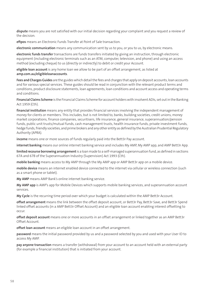**dispute** means you are not satisfied with our initial decision regarding your complaint and you request a review of the decision.

**eftpos** means an Electronic Funds Transfer at Point of Sale transaction.

**electronic communication** means any communication sent by us to you, or you to us, by electronic means.

**electronic funds transfer** transactions are funds transfers initiated by giving an instruction, through electronic equipment (including electronic terminals such as an ATM, computer, television, and phone) and using an access method (excluding cheque) to us (directly or indirectly) to debit or credit your Account.

**eligible loan account** is any home loan we allow to be part of an offset arrangement, as listed at **amp.com.au/eligibleloanaccounts**.

Fees and Charges Guides are the guides which detail the fees and charges that apply on deposit accounts, loan accounts and for various special services. These guides should be read in conjunction with the relevant product terms and conditions, product disclosure statements, loan agreements, loan conditions and account access and operating terms and conditions.

**Financial Claims Scheme** is the Financial Claims Scheme for account holderswith insolvent ADIs, set outin the Banking Act 1959 (Cth).

**financial institution** means any entity that provides financial services involving the independent management of money for clients or members. This includes, but is not limited to, banks, building societies, credit unions, money market corporations, finance companies, securitisers, life insurance, general insurance, superannuation/pension funds, public unit trusts/mutual funds, cash management trusts, health insurance funds, private investment funds, hedge funds, friendly societies, and prime brokers and any other entity as defined by the Australian Prudential Regulatory Authority (APRA).

**income** means one or more sources of funds regularly paid into the Bett3r Pay account.

**internet banking** means our online internet banking service andincludes My AMP, My AMP app, and AMP Bett3r App.

limited recourse borrowing arrangement is a loan made to a self-managed superannuation fund, as defined in sections 67A and 67B of the Superannuation Industry (Supervision) Act 1993 (Cth).

**mobile banking** means access to My AMP through the My AMP app or AMP Bett3r app on a mobile device.

**mobile device** means an internet enabled device connected to the internet via cellular or wireless connection (such as a smart phone or tablet).

**My AMP** means AMP Bank's online internet banking service.

**My AMP app** is AMP's app for Mobile Devices which supports mobile banking services, and superannuation account services.

**My Cycle** is the recurring time period over which your budget is calculated within the AMP Bett3r Account.

**offset arrangement** means the link between the offset deposit account, or Bett3r Pay, Bett3r Save, and Bett3r Spend linked offset accounts (in a AMP Bett3r Offset Account) and an eligible loan account enabling interest offsetting to occur.

**offset deposit account** means one or more accounts in an offset arrangement or linked together as an AMP Bett3r Offset Account.

**offset loan account** means an eligible loan account in an offset arrangement.

**password** means the initial password provided by us and a password selected by you and used with your User ID to access My AMP.

**pay anyone transaction** means a transfer (withdrawal) from your account to an account held with an external party (for example a financial institution) that is initiated from your account.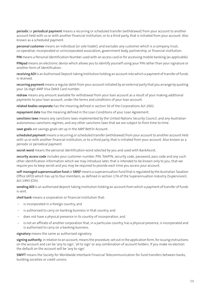**periodic** or **periodical payment** means a recurring or scheduled transfer (withdrawal) from your account to another account held with us or with another financial institution, or to a third party, that is initiated from your account. Also known as a scheduled payment.

**personal customer** means an individual (or sole trader), and excludes any customer which is a company, trust, co-operative, incorporated or unincorporated association, government body, partnership, or financial institution.

**PIN** means a Personal Identification Number used with an access card or for accessing mobile banking (as applicable).

**PINpad** means an electronicdevice which allows you to identify yourself using your PIN rather than your signature or another form of identification.

receiving ADI is an Authorised Deposit-taking Institution holding an account into which a payment of transfer of funds is received.

recurring payment means a regular debit from your account initiated by an external party that you arrange by quoting your 16-digit AMP Visa Debit Card number.

**redraw** means any amount available for withdrawal from your loan account as a result of your making additional payments to your loan account, under the terms and conditions of your loan account.

**related bodies corporate** has the meaning defined in section 50 of the Corporations Act 2001.

**repayment date** has the meaning defined in the Loan Conditions of your Loan Agreement.

**sanctions laws** means any sanctions laws implemented by the United Nations Security Council, and any Australian autonomous sanctions regimes, and any other sanctions laws that we are subject to from time to time.

**save goals** are savings goals set up in the AMP Bett3r Account.

**scheduled payment** means a recurring or scheduled transfer (withdrawal) from your account to another account held with us or with another financial institution, or to a third party, that is initiated from your account. Also known as a periodic or periodical payment.

**secret word** means the personal identification word selected by you and used with BankAssist.

**security access code** includes your customer number, PIN, TelePIN, security code, password, pass code and any such other identification information which we may introduce later, that is intended to be known only to you, that we require you to keep secret and you may be required to provide each time you access your account.

**self-managed superannuation fund** or **SMSF** means a superannuation fundthatis regulated by the Australian Taxation Office (ATO) which has up to four members, as defined in section 17A of the Superannuation Industry (Supervision) Act 1993 (Cth).

sending ADI is an authorised deposit-taking institution holding an account from which a payment of transfer of funds is sent.

**shell bank** means a corporation or financial institution that:

- is incorporated in a foreign country, and
- is authorised to carry on banking business in that country, and
- does not have a physical presence in its country of incorporation, and
- is not an affiliate of another corporation that, in a particular country, has a physical presence, is incorporatedand is authorised to carry on a banking business.

**signatory** means the same as authorised signatory.

**signing authority**, in relation to an account, means the procedure, set outin the application form,forissuing instructions on the account and can be 'any to sign', 'all to sign' or any combination of account holders. If you make no election the default on the account will be 'any to sign'.

**SWIFT** means the Society for Worldwide Interbank Financial Telecommunication for fund transfers between banks, building societies or credit unions.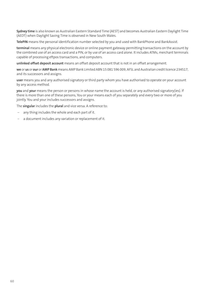**Sydney time** is also known as Australian Eastern Standard Time (AEST) and becomes Australian Eastern Daylight Time (AEDT) when Daylight Saving Time is observed in New South Wales.

**TelePIN** means the personal identification number selected by you and used with BankPhone and BankAssist.

**terminal** means any physical electronic device or online payment gateway permitting transactions on the account by the combined use of an access card and a PIN, or by use of an access card alone. It includes ATMs, merchant terminals capable of processing eftpos transactions, and computers.

**unlinked offset deposit account** means an offset deposit account that is not in an offset arrangement.

**we** or **us** or **our** or **AMP Bank** means AMP Bank Limited ABN 15 081 596 009, AFSL and Australian creditlicence 234517, and its successors and assigns.

**user** means you and any authorised signatory or third party whom you have authorised to operate on your account by any access method.

**you** and **your** means the person or persons in whose name the account is held, or any authorised signatory(ies). If there is more than one of these persons, You or your means each of you separately and every two or more of you jointly. You and your includes successors and assigns.

The **singular** includes the **plural** and vice versa. A reference to:

- any thing includes the whole and each part of it.
- a document includes any variation or replacement of it.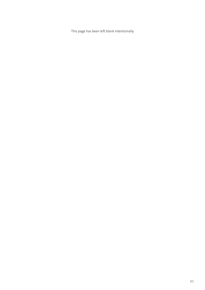This page has been left blank intentionally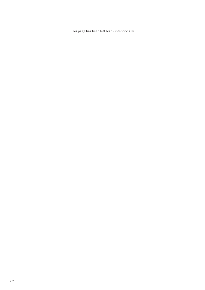This page has been left blank intentionally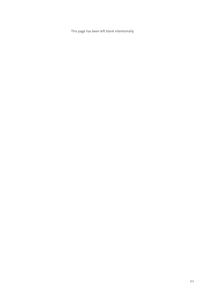This page has been left blank intentionally